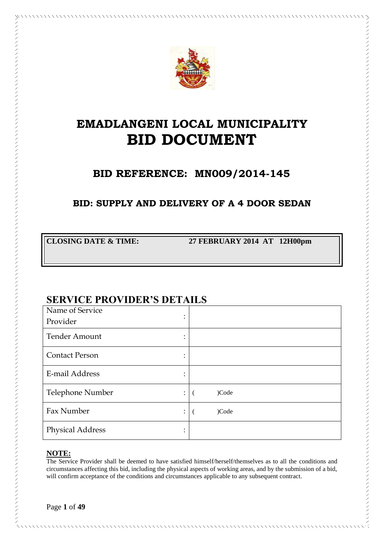

# **EMADLANGENI LOCAL MUNICIPALITY BID DOCUMENT**

# **BID REFERENCE: MN009/2014-145**

## **BID: SUPPLY AND DELIVERY OF A 4 DOOR SEDAN**

**CLOSING DATE & TIME: 27 FEBRUARY 2014 AT 12H00pm**

シンシンシンシンシン シンシンシン シンシンシン シンシン シンシンシン シンシンシン シンシンシン シンシンシン シンシンシンシン シンシン

# **SERVICE PROVIDER'S DETAILS**

| Name of Service<br>٠                         |       |
|----------------------------------------------|-------|
| ٠<br>Provider                                |       |
| <b>Tender Amount</b><br>$\ddot{\phantom{0}}$ |       |
| <b>Contact Person</b><br>٠                   |       |
| E-mail Address<br>۰                          |       |
| Telephone Number<br>÷                        | )Code |
| Fax Number<br>$\ddot{\phantom{a}}$           | )Code |
| <b>Physical Address</b>                      |       |

### **NOTE:**

The Service Provider shall be deemed to have satisfied himself/herself/themselves as to all the conditions and circumstances affecting this bid, including the physical aspects of working areas, and by the submission of a bid, will confirm acceptance of the conditions and circumstances applicable to any subsequent contract.

Page **1** of **49**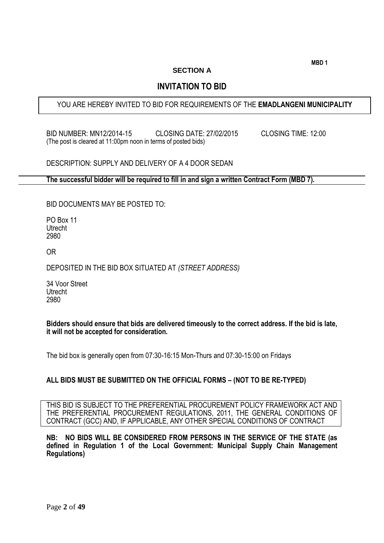**MBD 1**

#### **SECTION A**

### **INVITATION TO BID**

### YOU ARE HEREBY INVITED TO BID FOR REQUIREMENTS OF THE **EMADLANGENI MUNICIPALITY**

BID NUMBER: MN12/2014-15 CLOSING DATE: 27/02/2015 CLOSING TIME: 12:00 (The post is cleared at 11:00pm noon in terms of posted bids)

DESCRIPTION: SUPPLY AND DELIVERY OF A 4 DOOR SEDAN

**The successful bidder will be required to fill in and sign a written Contract Form (MBD 7).**

BID DOCUMENTS MAY BE POSTED TO:

PO Box 11 Utrecht 2980

OR

DEPOSITED IN THE BID BOX SITUATED AT *(STREET ADDRESS)*

34 Voor Street Utrecht 2980

**Bidders should ensure that bids are delivered timeously to the correct address. If the bid is late, it will not be accepted for consideration.**

The bid box is generally open from 07:30-16:15 Mon-Thurs and 07:30-15:00 on Fridays

#### **ALL BIDS MUST BE SUBMITTED ON THE OFFICIAL FORMS – (NOT TO BE RE-TYPED)**

THIS BID IS SUBJECT TO THE PREFERENTIAL PROCUREMENT POLICY FRAMEWORK ACT AND THE PREFERENTIAL PROCUREMENT REGULATIONS, 2011, THE GENERAL CONDITIONS OF CONTRACT (GCC) AND, IF APPLICABLE, ANY OTHER SPECIAL CONDITIONS OF CONTRACT

**NB: NO BIDS WILL BE CONSIDERED FROM PERSONS IN THE SERVICE OF THE STATE (as defined in Regulation 1 of the Local Government: Municipal Supply Chain Management Regulations)**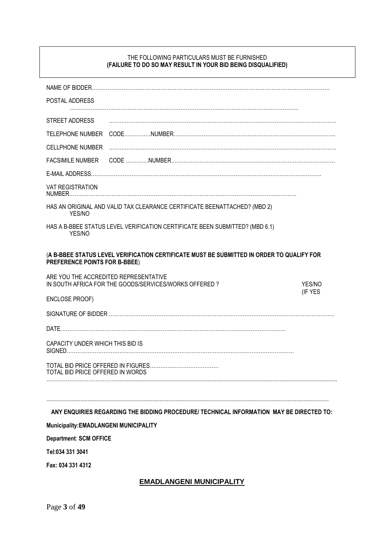#### THE FOLLOWING PARTICULARS MUST BE FURNISHED **(FAILURE TO DO SO MAY RESULT IN YOUR BID BEING DISQUALIFIED)**

| POSTAL ADDRESS                                                                                                             |  |  |                                                                                          |
|----------------------------------------------------------------------------------------------------------------------------|--|--|------------------------------------------------------------------------------------------|
|                                                                                                                            |  |  |                                                                                          |
| STREET ADDRESS                                                                                                             |  |  |                                                                                          |
|                                                                                                                            |  |  |                                                                                          |
| <b>CELLPHONE NUMBER</b>                                                                                                    |  |  |                                                                                          |
| <b>FACSIMILE NUMBER</b>                                                                                                    |  |  |                                                                                          |
|                                                                                                                            |  |  |                                                                                          |
| <b>VAT REGISTRATION</b>                                                                                                    |  |  |                                                                                          |
| HAS AN ORIGINAL AND VALID TAX CLEARANCE CERTIFICATE BEENATTACHED? (MBD 2)<br>YES/NO                                        |  |  |                                                                                          |
| HAS A B-BBEE STATUS LEVEL VERIFICATION CERTIFICATE BEEN SUBMITTED? (MBD 6.1)<br>YES/NO                                     |  |  |                                                                                          |
| (A B-BBEE STATUS LEVEL VERIFICATION CERTIFICATE MUST BE SUBMITTED IN ORDER TO QUALIFY FOR<br>PREFERENCE POINTS FOR B-BBEE) |  |  |                                                                                          |
| ARE YOU THE ACCREDITED REPRESENTATIVE<br>IN SOUTH AFRICA FOR THE GOODS/SERVICES/WORKS OFFERED?                             |  |  | YES/NO                                                                                   |
| <b>ENCLOSE PROOF)</b>                                                                                                      |  |  | (IF YES                                                                                  |
|                                                                                                                            |  |  |                                                                                          |
|                                                                                                                            |  |  |                                                                                          |
| CAPACITY UNDER WHICH THIS BID IS                                                                                           |  |  |                                                                                          |
| TOTAL BID PRICE OFFERED IN WORDS                                                                                           |  |  |                                                                                          |
|                                                                                                                            |  |  |                                                                                          |
|                                                                                                                            |  |  |                                                                                          |
|                                                                                                                            |  |  | ANY ENQUIRIES REGARDING THE BIDDING PROCEDURE/ TECHNICAL INFORMATION MAY BE DIRECTED TO: |

### **Municipality:EMADLANGENI MUNICIPALITY**

**Department**: **SCM OFFICE**

**Tel:034 331 3041**

**Fax: 034 331 4312**

#### **EMADLANGENI MUNICIPALITY**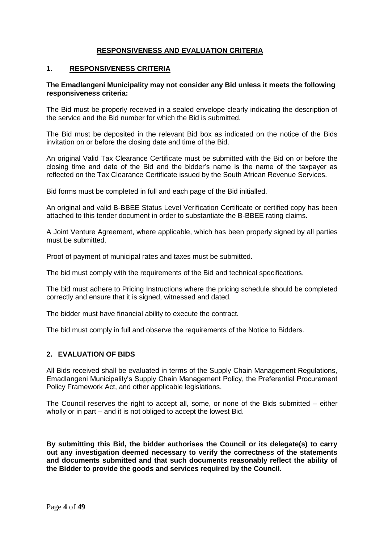### **RESPONSIVENESS AND EVALUATION CRITERIA**

#### **1. RESPONSIVENESS CRITERIA**

#### **The Emadlangeni Municipality may not consider any Bid unless it meets the following responsiveness criteria:**

The Bid must be properly received in a sealed envelope clearly indicating the description of the service and the Bid number for which the Bid is submitted.

The Bid must be deposited in the relevant Bid box as indicated on the notice of the Bids invitation on or before the closing date and time of the Bid.

An original Valid Tax Clearance Certificate must be submitted with the Bid on or before the closing time and date of the Bid and the bidder's name is the name of the taxpayer as reflected on the Tax Clearance Certificate issued by the South African Revenue Services.

Bid forms must be completed in full and each page of the Bid initialled.

An original and valid B-BBEE Status Level Verification Certificate or certified copy has been attached to this tender document in order to substantiate the B-BBEE rating claims.

A Joint Venture Agreement, where applicable, which has been properly signed by all parties must be submitted.

Proof of payment of municipal rates and taxes must be submitted.

The bid must comply with the requirements of the Bid and technical specifications.

The bid must adhere to Pricing Instructions where the pricing schedule should be completed correctly and ensure that it is signed, witnessed and dated.

The bidder must have financial ability to execute the contract.

The bid must comply in full and observe the requirements of the Notice to Bidders.

#### **2. EVALUATION OF BIDS**

All Bids received shall be evaluated in terms of the Supply Chain Management Regulations, Emadlangeni Municipality's Supply Chain Management Policy, the Preferential Procurement Policy Framework Act, and other applicable legislations.

The Council reserves the right to accept all, some, or none of the Bids submitted  $-$  either wholly or in part – and it is not obliged to accept the lowest Bid.

**By submitting this Bid, the bidder authorises the Council or its delegate(s) to carry out any investigation deemed necessary to verify the correctness of the statements and documents submitted and that such documents reasonably reflect the ability of the Bidder to provide the goods and services required by the Council.**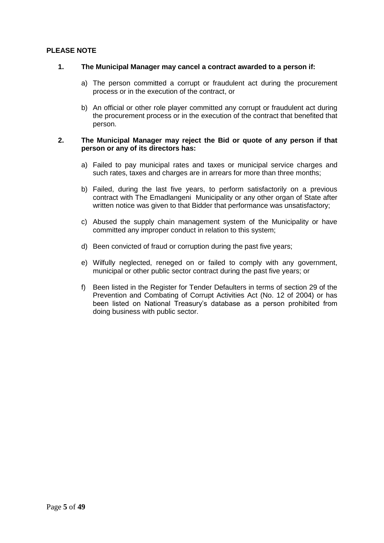#### **PLEASE NOTE**

#### **1. The Municipal Manager may cancel a contract awarded to a person if:**

- a) The person committed a corrupt or fraudulent act during the procurement process or in the execution of the contract, or
- b) An official or other role player committed any corrupt or fraudulent act during the procurement process or in the execution of the contract that benefited that person.

#### **2. The Municipal Manager may reject the Bid or quote of any person if that person or any of its directors has:**

- a) Failed to pay municipal rates and taxes or municipal service charges and such rates, taxes and charges are in arrears for more than three months;
- b) Failed, during the last five years, to perform satisfactorily on a previous contract with The Emadlangeni Municipality or any other organ of State after written notice was given to that Bidder that performance was unsatisfactory;
- c) Abused the supply chain management system of the Municipality or have committed any improper conduct in relation to this system;
- d) Been convicted of fraud or corruption during the past five years;
- e) Wilfully neglected, reneged on or failed to comply with any government, municipal or other public sector contract during the past five years; or
- f) Been listed in the Register for Tender Defaulters in terms of section 29 of the Prevention and Combating of Corrupt Activities Act (No. 12 of 2004) or has been listed on National Treasury's database as a person prohibited from doing business with public sector.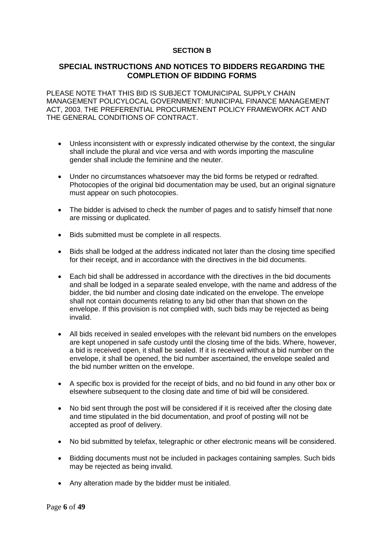#### **SECTION B**

#### **SPECIAL INSTRUCTIONS AND NOTICES TO BIDDERS REGARDING THE COMPLETION OF BIDDING FORMS**

PLEASE NOTE THAT THIS BID IS SUBJECT TOMUNICIPAL SUPPLY CHAIN MANAGEMENT POLICYLOCAL GOVERNMENT: MUNICIPAL FINANCE MANAGEMENT ACT, 2003, THE PREFERENTIAL PROCURMENENT POLICY FRAMEWORK ACT AND THE GENERAL CONDITIONS OF CONTRACT.

- Unless inconsistent with or expressly indicated otherwise by the context, the singular shall include the plural and vice versa and with words importing the masculine gender shall include the feminine and the neuter.
- Under no circumstances whatsoever may the bid forms be retyped or redrafted. Photocopies of the original bid documentation may be used, but an original signature must appear on such photocopies.
- The bidder is advised to check the number of pages and to satisfy himself that none are missing or duplicated.
- Bids submitted must be complete in all respects.
- Bids shall be lodged at the address indicated not later than the closing time specified for their receipt, and in accordance with the directives in the bid documents.
- Each bid shall be addressed in accordance with the directives in the bid documents and shall be lodged in a separate sealed envelope, with the name and address of the bidder, the bid number and closing date indicated on the envelope. The envelope shall not contain documents relating to any bid other than that shown on the envelope. If this provision is not complied with, such bids may be rejected as being invalid.
- All bids received in sealed envelopes with the relevant bid numbers on the envelopes are kept unopened in safe custody until the closing time of the bids. Where, however, a bid is received open, it shall be sealed. If it is received without a bid number on the envelope, it shall be opened, the bid number ascertained, the envelope sealed and the bid number written on the envelope.
- A specific box is provided for the receipt of bids, and no bid found in any other box or elsewhere subsequent to the closing date and time of bid will be considered.
- No bid sent through the post will be considered if it is received after the closing date and time stipulated in the bid documentation, and proof of posting will not be accepted as proof of delivery.
- No bid submitted by telefax, telegraphic or other electronic means will be considered.
- Bidding documents must not be included in packages containing samples. Such bids may be rejected as being invalid.
- Any alteration made by the bidder must be initialed.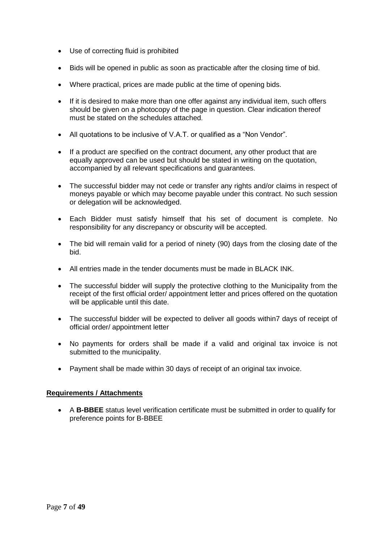- Use of correcting fluid is prohibited
- Bids will be opened in public as soon as practicable after the closing time of bid.
- Where practical, prices are made public at the time of opening bids.
- If it is desired to make more than one offer against any individual item, such offers should be given on a photocopy of the page in question. Clear indication thereof must be stated on the schedules attached.
- All quotations to be inclusive of V.A.T. or qualified as a "Non Vendor".
- If a product are specified on the contract document, any other product that are equally approved can be used but should be stated in writing on the quotation, accompanied by all relevant specifications and guarantees.
- The successful bidder may not cede or transfer any rights and/or claims in respect of moneys payable or which may become payable under this contract. No such session or delegation will be acknowledged.
- Each Bidder must satisfy himself that his set of document is complete. No responsibility for any discrepancy or obscurity will be accepted.
- The bid will remain valid for a period of ninety (90) days from the closing date of the bid.
- All entries made in the tender documents must be made in BLACK INK.
- The successful bidder will supply the protective clothing to the Municipality from the receipt of the first official order/ appointment letter and prices offered on the quotation will be applicable until this date.
- The successful bidder will be expected to deliver all goods within7 days of receipt of official order/ appointment letter
- No payments for orders shall be made if a valid and original tax invoice is not submitted to the municipality.
- Payment shall be made within 30 days of receipt of an original tax invoice.

#### **Requirements / Attachments**

 A **B-BBEE** status level verification certificate must be submitted in order to qualify for preference points for B-BBEE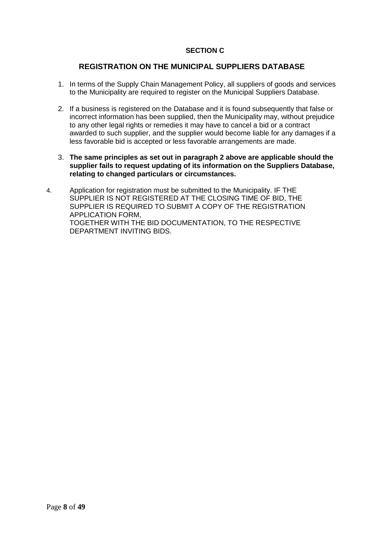### **SECTION C**

### **REGISTRATION ON THE MUNICIPAL SUPPLIERS DATABASE**

- 1. In terms of the Supply Chain Management Policy, all suppliers of goods and services to the Municipality are required to register on the Municipal Suppliers Database.
- 2. If a business is registered on the Database and it is found subsequently that false or incorrect information has been supplied, then the Municipality may, without prejudice to any other legal rights or remedies it may have to cancel a bid or a contract awarded to such supplier, and the supplier would become liable for any damages if a less favorable bid is accepted or less favorable arrangements are made.
- 3. **The same principles as set out in paragraph 2 above are applicable should the supplier fails to request updating of its information on the Suppliers Database, relating to changed particulars or circumstances.**
- 4. Application for registration must be submitted to the Municipality. IF THE SUPPLIER IS NOT REGISTERED AT THE CLOSING TIME OF BID, THE SUPPLIER IS REQUIRED TO SUBMIT A COPY OF THE REGISTRATION APPLICATION FORM, TOGETHER WITH THE BID DOCUMENTATION, TO THE RESPECTIVE DEPARTMENT INVITING BIDS.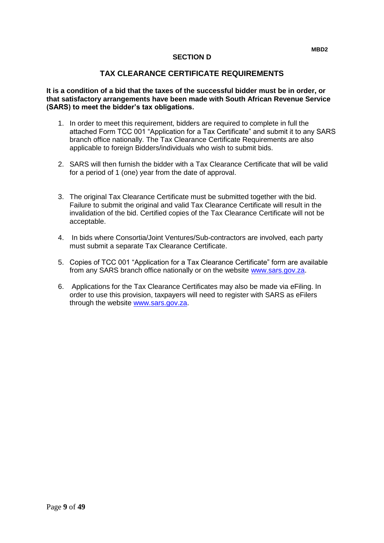#### **SECTION D**

#### **TAX CLEARANCE CERTIFICATE REQUIREMENTS**

**It is a condition of a bid that the taxes of the successful bidder must be in order, or that satisfactory arrangements have been made with South African Revenue Service (SARS) to meet the bidder's tax obligations.**

- 1. In order to meet this requirement, bidders are required to complete in full the attached Form TCC 001 "Application for a Tax Certificate" and submit it to any SARS branch office nationally. The Tax Clearance Certificate Requirements are also applicable to foreign Bidders/individuals who wish to submit bids.
- 2. SARS will then furnish the bidder with a Tax Clearance Certificate that will be valid for a period of 1 (one) year from the date of approval.
- 3. The original Tax Clearance Certificate must be submitted together with the bid. Failure to submit the original and valid Tax Clearance Certificate will result in the invalidation of the bid. Certified copies of the Tax Clearance Certificate will not be acceptable.
- 4. In bids where Consortia/Joint Ventures/Sub-contractors are involved, each party must submit a separate Tax Clearance Certificate.
- 5. Copies of TCC 001 "Application for a Tax Clearance Certificate" form are available from any SARS branch office nationally or on the website [www.sars.gov.za.](http://www.sars.gov.za/)
- 6. Applications for the Tax Clearance Certificates may also be made via eFiling. In order to use this provision, taxpayers will need to register with SARS as eFilers through the website [www.sars.gov.za.](http://www.sars.gov.za/)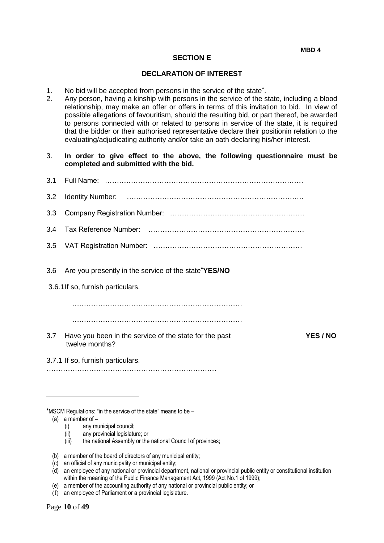#### **SECTION E**

#### **DECLARATION OF INTEREST**

- 1. No bid will be accepted from persons in the service of the state .
- 2. Any person, having a kinship with persons in the service of the state, including a blood relationship, may make an offer or offers in terms of this invitation to bid. In view of possible allegations of favouritism, should the resulting bid, or part thereof, be awarded to persons connected with or related to persons in service of the state, it is required that the bidder or their authorised representative declare their positionin relation to the evaluating/adjudicating authority and/or take an oath declaring his/her interest.

#### 3. **In order to give effect to the above, the following questionnaire must be completed and submitted with the bid.**

| 3.2 |                                                                          |               |
|-----|--------------------------------------------------------------------------|---------------|
| 3.3 |                                                                          |               |
| 3.4 |                                                                          |               |
| 3.5 |                                                                          |               |
| 3.6 | Are you presently in the service of the state*YES/NO                     |               |
|     | 3.6.1 If so, furnish particulars.                                        |               |
|     |                                                                          |               |
|     |                                                                          |               |
|     |                                                                          |               |
| 3.7 | Have you been in the service of the state for the past<br>twelve months? | <b>YES/NO</b> |

MSCM Regulations: "in the service of the state" means to be –

#### (a) a member of –

1

- (i) any municipal council;
- (ii) any provincial legislature; or
- (iii) the national Assembly or the national Council of provinces;
- (b) a member of the board of directors of any municipal entity;

- (d) an employee of any national or provincial department, national or provincial public entity or constitutional institution within the meaning of the Public Finance Management Act, 1999 (Act No.1 of 1999);
- (e) a member of the accounting authority of any national or provincial public entity; or
- (f) an employee of Parliament or a provincial legislature.

<sup>(</sup>c) an official of any municipality or municipal entity;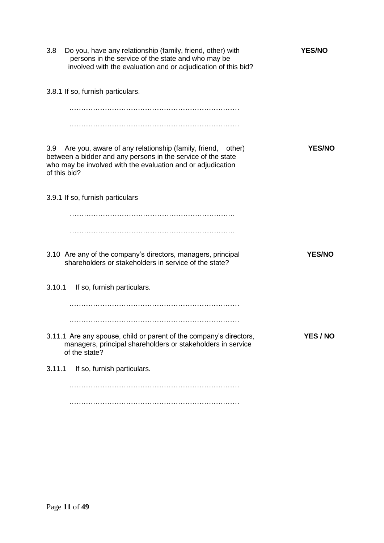| 3.8    | Do you, have any relationship (family, friend, other) with<br>persons in the service of the state and who may be<br>involved with the evaluation and or adjudication of this bid?                            | <b>YES/NO</b> |
|--------|--------------------------------------------------------------------------------------------------------------------------------------------------------------------------------------------------------------|---------------|
|        | 3.8.1 If so, furnish particulars.                                                                                                                                                                            |               |
|        |                                                                                                                                                                                                              |               |
|        |                                                                                                                                                                                                              |               |
| 3.9    | Are you, aware of any relationship (family, friend,<br>other)<br>between a bidder and any persons in the service of the state<br>who may be involved with the evaluation and or adjudication<br>of this bid? | <b>YES/NO</b> |
|        | 3.9.1 If so, furnish particulars                                                                                                                                                                             |               |
|        |                                                                                                                                                                                                              |               |
|        |                                                                                                                                                                                                              |               |
|        | 3.10 Are any of the company's directors, managers, principal<br>shareholders or stakeholders in service of the state?                                                                                        | <b>YES/NO</b> |
| 3.10.1 | If so, furnish particulars.                                                                                                                                                                                  |               |
|        |                                                                                                                                                                                                              |               |
|        |                                                                                                                                                                                                              |               |
|        | 3.11.1 Are any spouse, child or parent of the company's directors,<br>managers, principal shareholders or stakeholders in service<br>of the state?                                                           | YES / NO      |
| 3.11.1 | If so, furnish particulars.                                                                                                                                                                                  |               |
|        |                                                                                                                                                                                                              |               |
|        |                                                                                                                                                                                                              |               |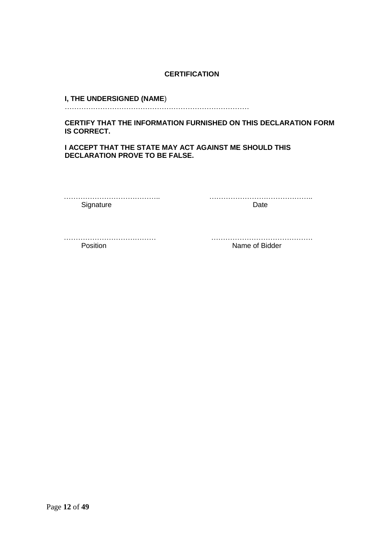#### **CERTIFICATION**

#### **I, THE UNDERSIGNED (NAME**)

……………………………………………………………………

**CERTIFY THAT THE INFORMATION FURNISHED ON THIS DECLARATION FORM IS CORRECT.** 

**I ACCEPT THAT THE STATE MAY ACT AGAINST ME SHOULD THIS DECLARATION PROVE TO BE FALSE.** 

………………………………….. …………………………………….. Signature Date

Position **Name of Bidder** 

………………………………… …………………………………….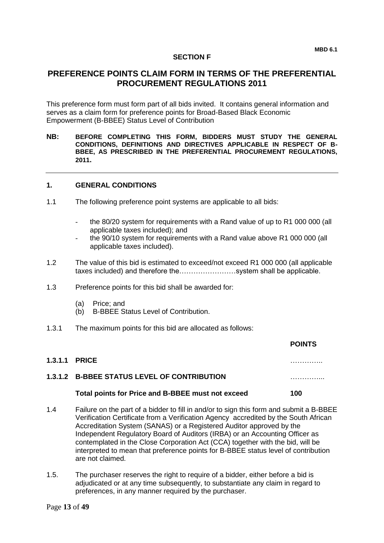#### **SECTION F**

### **PREFERENCE POINTS CLAIM FORM IN TERMS OF THE PREFERENTIAL PROCUREMENT REGULATIONS 2011**

This preference form must form part of all bids invited. It contains general information and serves as a claim form for preference points for Broad-Based Black Economic Empowerment (B-BBEE) Status Level of Contribution

**NB: BEFORE COMPLETING THIS FORM, BIDDERS MUST STUDY THE GENERAL CONDITIONS, DEFINITIONS AND DIRECTIVES APPLICABLE IN RESPECT OF B-BBEE, AS PRESCRIBED IN THE PREFERENTIAL PROCUREMENT REGULATIONS, 2011.** 

#### **1. GENERAL CONDITIONS**

- 1.1 The following preference point systems are applicable to all bids:
	- the 80/20 system for requirements with a Rand value of up to R1 000 000 (all applicable taxes included); and
	- the 90/10 system for requirements with a Rand value above R1 000 000 (all applicable taxes included).
- 1.2 The value of this bid is estimated to exceed/not exceed R1 000 000 (all applicable taxes included) and therefore the……………………system shall be applicable.
- 1.3 Preference points for this bid shall be awarded for:
	- (a) Price; and
	- (b) B-BBEE Status Level of Contribution.
- 1.3.1 The maximum points for this bid are allocated as follows:

|                                       |                                                                                        | PUIN 13 |
|---------------------------------------|----------------------------------------------------------------------------------------|---------|
| <b>1.3.1.1 PRICE</b>                  |                                                                                        |         |
|                                       | 1.3.1.2 B-BBEE STATUS LEVEL OF CONTRIBUTION                                            |         |
|                                       | Total points for Price and B-BBEE must not exceed                                      | 100     |
| $\begin{array}{cc} 1 & A \end{array}$ | Eailure on the part of a bidder to fill in and/or to sign this form and submit a R-RRE |         |

- 1.4 Failure on the part of a bidder to fill in and/or to sign this form and submit a B-BBEE Verification Certificate from a Verification Agency accredited by the South African Accreditation System (SANAS) or a Registered Auditor approved by the Independent Regulatory Board of Auditors (IRBA) or an Accounting Officer as contemplated in the Close Corporation Act (CCA) together with the bid, will be interpreted to mean that preference points for B-BBEE status level of contribution are not claimed.
- 1.5. The purchaser reserves the right to require of a bidder, either before a bid is adjudicated or at any time subsequently, to substantiate any claim in regard to preferences, in any manner required by the purchaser.

#### **POINTS**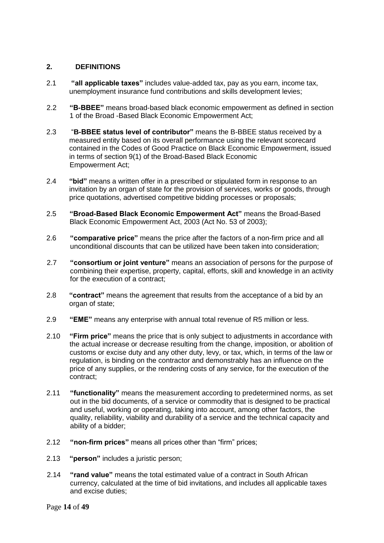#### **2. DEFINITIONS**

- 2.1 **"all applicable taxes"** includes value-added tax, pay as you earn, income tax, unemployment insurance fund contributions and skills development levies;
- 2.2 **"B-BBEE"** means broad-based black economic empowerment as defined in section 1 of the Broad -Based Black Economic Empowerment Act;
- 2.3 "**B-BBEE status level of contributor"** means the B-BBEE status received by a measured entity based on its overall performance using the relevant scorecard contained in the Codes of Good Practice on Black Economic Empowerment, issued in terms of section 9(1) of the Broad-Based Black Economic Empowerment Act;
- 2.4 **"bid"** means a written offer in a prescribed or stipulated form in response to an invitation by an organ of state for the provision of services, works or goods, through price quotations, advertised competitive bidding processes or proposals;
- 2.5 **"Broad-Based Black Economic Empowerment Act"** means the Broad-Based Black Economic Empowerment Act, 2003 (Act No. 53 of 2003);
- 2.6 **"comparative price"** means the price after the factors of a non-firm price and all unconditional discounts that can be utilized have been taken into consideration;
- 2.7 **"consortium or joint venture"** means an association of persons for the purpose of combining their expertise, property, capital, efforts, skill and knowledge in an activity for the execution of a contract;
- 2.8 **"contract"** means the agreement that results from the acceptance of a bid by an organ of state;
- 2.9 **"EME"** means any enterprise with annual total revenue of R5 million or less.
- 2.10 **"Firm price"** means the price that is only subject to adjustments in accordance with the actual increase or decrease resulting from the change, imposition, or abolition of customs or excise duty and any other duty, levy, or tax, which, in terms of the law or regulation, is binding on the contractor and demonstrably has an influence on the price of any supplies, or the rendering costs of any service, for the execution of the contract;
- 2.11 **"functionality"** means the measurement according to predetermined norms, as set out in the bid documents, of a service or commodity that is designed to be practical and useful, working or operating, taking into account, among other factors, the quality, reliability, viability and durability of a service and the technical capacity and ability of a bidder;
- 2.12 **"non-firm prices"** means all prices other than "firm" prices;
- 2.13 **"person"** includes a juristic person;
- 2.14 **"rand value"** means the total estimated value of a contract in South African currency, calculated at the time of bid invitations, and includes all applicable taxes and excise duties;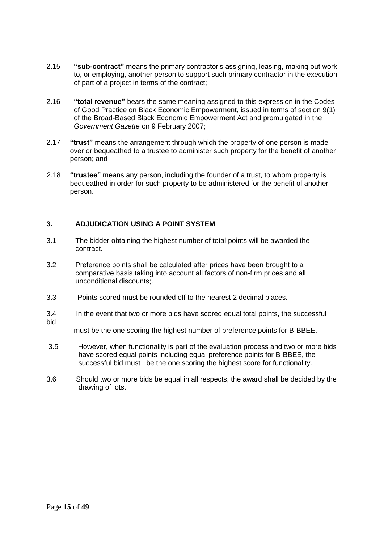- 2.15 **"sub-contract"** means the primary contractor's assigning, leasing, making out work to, or employing, another person to support such primary contractor in the execution of part of a project in terms of the contract;
- 2.16 **"total revenue"** bears the same meaning assigned to this expression in the Codes of Good Practice on Black Economic Empowerment, issued in terms of section 9(1) of the Broad-Based Black Economic Empowerment Act and promulgated in the *Government Gazette* on 9 February 2007;
- 2.17 **"trust"** means the arrangement through which the property of one person is made over or bequeathed to a trustee to administer such property for the benefit of another person; and
- 2.18 **"trustee"** means any person, including the founder of a trust, to whom property is bequeathed in order for such property to be administered for the benefit of another person.

### **3. ADJUDICATION USING A POINT SYSTEM**

- 3.1 The bidder obtaining the highest number of total points will be awarded the contract.
- 3.2 Preference points shall be calculated after prices have been brought to a comparative basis taking into account all factors of non-firm prices and all unconditional discounts;.
- 3.3 Points scored must be rounded off to the nearest 2 decimal places.
- 3.4 In the event that two or more bids have scored equal total points, the successful bid

must be the one scoring the highest number of preference points for B-BBEE.

- 3.5 However, when functionality is part of the evaluation process and two or more bids have scored equal points including equal preference points for B-BBEE, the successful bid must be the one scoring the highest score for functionality.
- 3.6 Should two or more bids be equal in all respects, the award shall be decided by the drawing of lots.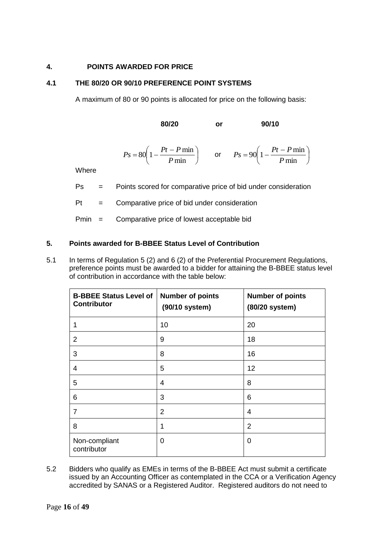#### **4. POINTS AWARDED FOR PRICE**

#### **4.1 THE 80/20 OR 90/10 PREFERENCE POINT SYSTEMS**

A maximum of 80 or 90 points is allocated for price on the following basis:

**80/20 or 90/10**

$$
Ps = 80 \left( 1 - \frac{Pt - P \min}{P \min} \right) \qquad \text{or} \qquad Ps = 90 \left( 1 - \frac{Pt - P \min}{P \min} \right)
$$

Where

Ps = Points scored for comparative price of bid under consideration

 $Pt =$  Comparative price of bid under consideration

Pmin = Comparative price of lowest acceptable bid

#### **5. Points awarded for B-BBEE Status Level of Contribution**

5.1 In terms of Regulation 5 (2) and 6 (2) of the Preferential Procurement Regulations, preference points must be awarded to a bidder for attaining the B-BBEE status level of contribution in accordance with the table below:

| <b>B-BBEE Status Level of</b><br><b>Contributor</b> | <b>Number of points</b><br>(90/10 system) | <b>Number of points</b><br>(80/20 system) |
|-----------------------------------------------------|-------------------------------------------|-------------------------------------------|
| 1                                                   | 10                                        | 20                                        |
| 2                                                   | 9                                         | 18                                        |
| 3                                                   | 8                                         | 16                                        |
| $\overline{4}$                                      | 5                                         | 12                                        |
| 5                                                   | 4                                         | 8                                         |
| 6                                                   | 3                                         | 6                                         |
| $\overline{7}$                                      | $\overline{2}$                            | 4                                         |
| 8                                                   | 1                                         | $\overline{2}$                            |
| Non-compliant<br>contributor                        | 0                                         | 0                                         |

5.2 Bidders who qualify as EMEs in terms of the B-BBEE Act must submit a certificate issued by an Accounting Officer as contemplated in the CCA or a Verification Agency accredited by SANAS or a Registered Auditor. Registered auditors do not need to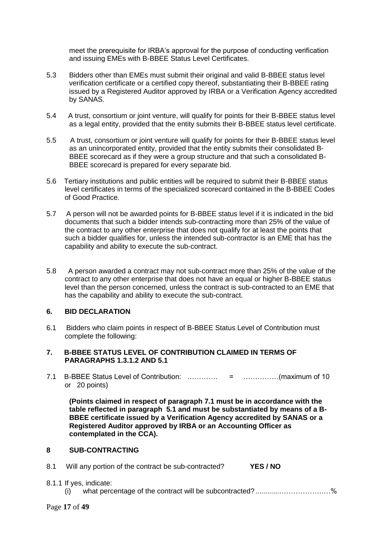meet the prerequisite for IRBA's approval for the purpose of conducting verification and issuing EMEs with B-BBEE Status Level Certificates.

- 5.3 Bidders other than EMEs must submit their original and valid B-BBEE status level verification certificate or a certified copy thereof, substantiating their B-BBEE rating issued by a Registered Auditor approved by IRBA or a Verification Agency accredited by SANAS.
- 5.4 A trust, consortium or joint venture, will qualify for points for their B-BBEE status level as a legal entity, provided that the entity submits their B-BBEE status level certificate.
- 5.5 A trust, consortium or joint venture will qualify for points for their B-BBEE status level as an unincorporated entity, provided that the entity submits their consolidated B-BBEE scorecard as if they were a group structure and that such a consolidated B-BBEE scorecard is prepared for every separate bid.
- 5.6 Tertiary institutions and public entities will be required to submit their B-BBEE status level certificates in terms of the specialized scorecard contained in the B-BBEE Codes of Good Practice.
- 5.7 A person will not be awarded points for B-BBEE status level if it is indicated in the bid documents that such a bidder intends sub-contracting more than 25% of the value of the contract to any other enterprise that does not qualify for at least the points that such a bidder qualifies for, unless the intended sub-contractor is an EME that has the capability and ability to execute the sub-contract.
- 5.8 A person awarded a contract may not sub-contract more than 25% of the value of the contract to any other enterprise that does not have an equal or higher B-BBEE status level than the person concerned, unless the contract is sub-contracted to an EME that has the capability and ability to execute the sub-contract.

#### **6. BID DECLARATION**

6.1 Bidders who claim points in respect of B-BBEE Status Level of Contribution must complete the following:

#### **7. B-BBEE STATUS LEVEL OF CONTRIBUTION CLAIMED IN TERMS OF PARAGRAPHS 1.3.1.2 AND 5.1**

7.1 B-BBEE Status Level of Contribution: …………. = ……………(maximum of 10 or 20 points)

**(Points claimed in respect of paragraph 7.1 must be in accordance with the table reflected in paragraph 5.1 and must be substantiated by means of a B-BBEE certificate issued by a Verification Agency accredited by SANAS or a Registered Auditor approved by IRBA or an Accounting Officer as contemplated in the CCA).**

#### **8 SUB-CONTRACTING**

- 8.1 Will any portion of the contract be sub-contracted? **YES / NO**
- 8.1.1 If yes, indicate:
	- (i) what percentage of the contract will be subcontracted?............……………….…%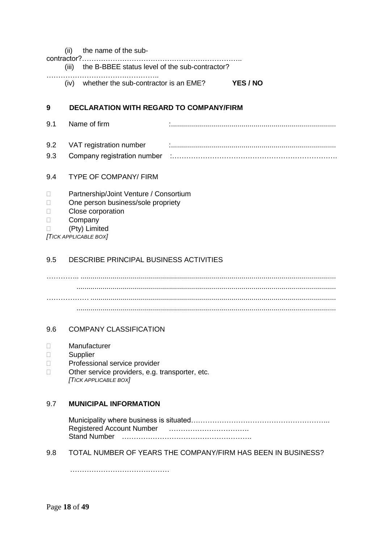| 9 |       | <b>DECLARATION WITH REGARD TO COMPANY/FIRM</b> |                 |
|---|-------|------------------------------------------------|-----------------|
|   | (iv)  | whether the sub-contractor is an EME?          | <b>YES / NO</b> |
|   | (III) | the B-BBEE status level of the sub-contractor? |                 |
|   |       | (ii) the name of the sub-                      |                 |

- 9.1 Name of firm :.................................................................................. 9.2 VAT registration number :..................................................................................
- 9.3 Company registration number :…………………………………………………………….

### 9.4 TYPE OF COMPANY/ FIRM

- □ Partnership/Joint Venture / Consortium
- □ One person business/sole propriety
- D Close corporation
- D Company
- (Pty) Limited

*[TICK APPLICABLE BOX]*

### 9.5 DESCRIBE PRINCIPAL BUSINESS ACTIVITIES

………….. ............................................................................................................................... ................................................................................................................................. ……………… .......................................................................................................................... .................................................................................................................................

### 9.6 COMPANY CLASSIFICATION

- Manufacturer
- Supplier
- D Professional service provider
- □ Other service providers, e.g. transporter, etc. *[TICK APPLICABLE BOX]*

### 9.7 **MUNICIPAL INFORMATION**

Municipality where business is situated………………………………………………….. Registered Account Number ……………………………. Stand Number ……………………………………………….

### 9.8 TOTAL NUMBER OF YEARS THE COMPANY/FIRM HAS BEEN IN BUSINESS?

……………………………………………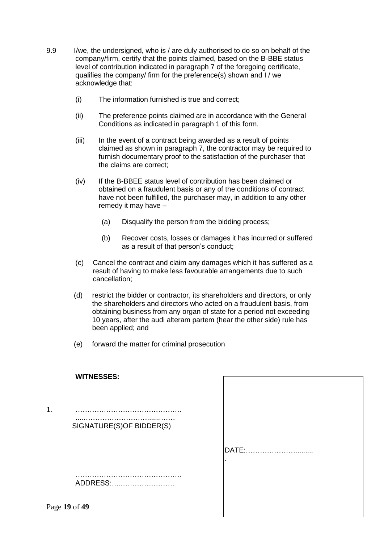- 9.9 I/we, the undersigned, who is / are duly authorised to do so on behalf of the company/firm, certify that the points claimed, based on the B-BBE status level of contribution indicated in paragraph 7 of the foregoing certificate, qualifies the company/ firm for the preference(s) shown and I / we acknowledge that:
	- (i) The information furnished is true and correct;
	- (ii) The preference points claimed are in accordance with the General Conditions as indicated in paragraph 1 of this form.
	- (iii) In the event of a contract being awarded as a result of points claimed as shown in paragraph 7, the contractor may be required to furnish documentary proof to the satisfaction of the purchaser that the claims are correct;
	- (iv) If the B-BBEE status level of contribution has been claimed or obtained on a fraudulent basis or any of the conditions of contract have not been fulfilled, the purchaser may, in addition to any other remedy it may have –
		- (a) Disqualify the person from the bidding process;
		- (b) Recover costs, losses or damages it has incurred or suffered as a result of that person's conduct;
	- (c) Cancel the contract and claim any damages which it has suffered as a result of having to make less favourable arrangements due to such cancellation;
	- (d) restrict the bidder or contractor, its shareholders and directors, or only the shareholders and directors who acted on a fraudulent basis, from obtaining business from any organ of state for a period not exceeding 10 years, after the audi alteram partem (hear the other side) rule has been applied; and
	- (e) forward the matter for criminal prosecution

|               | <b>WITNESSES:</b>        |       |
|---------------|--------------------------|-------|
| 1.            | SIGNATURE(S)OF BIDDER(S) | DATE: |
|               | ADDRESS:                 |       |
| Page 19 of 49 |                          |       |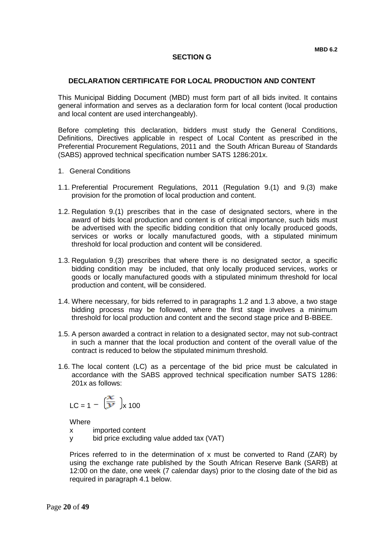#### **DECLARATION CERTIFICATE FOR LOCAL PRODUCTION AND CONTENT**

This Municipal Bidding Document (MBD) must form part of all bids invited. It contains general information and serves as a declaration form for local content (local production and local content are used interchangeably).

Before completing this declaration, bidders must study the General Conditions, Definitions, Directives applicable in respect of Local Content as prescribed in the Preferential Procurement Regulations, 2011 and the South African Bureau of Standards (SABS) approved technical specification number SATS 1286:201x.

- 1. General Conditions
- 1.1. Preferential Procurement Regulations, 2011 (Regulation 9.(1) and 9.(3) make provision for the promotion of local production and content.
- 1.2. Regulation 9.(1) prescribes that in the case of designated sectors, where in the award of bids local production and content is of critical importance, such bids must be advertised with the specific bidding condition that only locally produced goods, services or works or locally manufactured goods, with a stipulated minimum threshold for local production and content will be considered.
- 1.3. Regulation 9.(3) prescribes that where there is no designated sector, a specific bidding condition may be included, that only locally produced services, works or goods or locally manufactured goods with a stipulated minimum threshold for local production and content, will be considered.
- 1.4. Where necessary, for bids referred to in paragraphs 1.2 and 1.3 above, a two stage bidding process may be followed, where the first stage involves a minimum threshold for local production and content and the second stage price and B-BBEE.
- 1.5. A person awarded a contract in relation to a designated sector, may not sub-contract in such a manner that the local production and content of the overall value of the contract is reduced to below the stipulated minimum threshold.
- 1.6. The local content (LC) as a percentage of the bid price must be calculated in accordance with the SABS approved technical specification number SATS 1286: 201x as follows:

$$
LC = 1 - \left(\frac{x}{y}\right)_x 100
$$

**Where** 

x imported content

y bid price excluding value added tax (VAT)

Prices referred to in the determination of x must be converted to Rand (ZAR) by using the exchange rate published by the South African Reserve Bank (SARB) at 12:00 on the date, one week (7 calendar days) prior to the closing date of the bid as required in paragraph 4.1 below.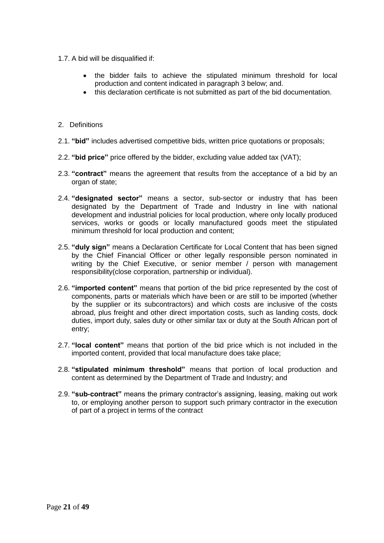- 1.7. A bid will be disqualified if:
	- the bidder fails to achieve the stipulated minimum threshold for local production and content indicated in paragraph 3 below; and.
	- this declaration certificate is not submitted as part of the bid documentation.
- 2. Definitions
- 2.1. **"bid"** includes advertised competitive bids, written price quotations or proposals;
- 2.2. **"bid price"** price offered by the bidder, excluding value added tax (VAT);
- 2.3. **"contract"** means the agreement that results from the acceptance of a bid by an organ of state;
- 2.4. **"designated sector"** means a sector, sub-sector or industry that has been designated by the Department of Trade and Industry in line with national development and industrial policies for local production, where only locally produced services, works or goods or locally manufactured goods meet the stipulated minimum threshold for local production and content;
- 2.5. **"duly sign"** means a Declaration Certificate for Local Content that has been signed by the Chief Financial Officer or other legally responsible person nominated in writing by the Chief Executive, or senior member / person with management responsibility(close corporation, partnership or individual).
- 2.6. **"imported content"** means that portion of the bid price represented by the cost of components, parts or materials which have been or are still to be imported (whether by the supplier or its subcontractors) and which costs are inclusive of the costs abroad, plus freight and other direct importation costs, such as landing costs, dock duties, import duty, sales duty or other similar tax or duty at the South African port of entry;
- 2.7. **"local content"** means that portion of the bid price which is not included in the imported content, provided that local manufacture does take place;
- 2.8. **"stipulated minimum threshold"** means that portion of local production and content as determined by the Department of Trade and Industry; and
- 2.9. **"sub-contract"** means the primary contractor's assigning, leasing, making out work to, or employing another person to support such primary contractor in the execution of part of a project in terms of the contract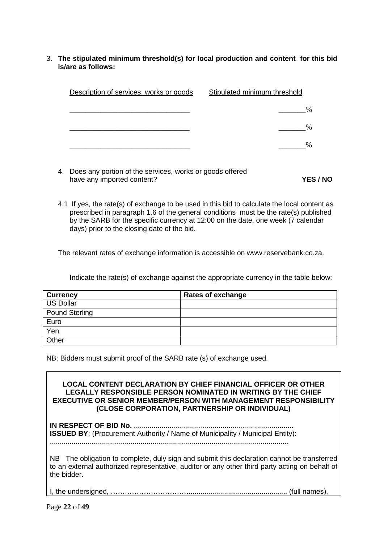3. **The stipulated minimum threshold(s) for local production and content for this bid is/are as follows:**

| Description of services, works or goods                     | Stipulated minimum threshold |
|-------------------------------------------------------------|------------------------------|
|                                                             | %                            |
|                                                             | %                            |
|                                                             | %                            |
| 4. Does any portion of the services, works or goods offered |                              |

- have any imported content? **YES / NO**
- 4.1 If yes, the rate(s) of exchange to be used in this bid to calculate the local content as prescribed in paragraph 1.6 of the general conditions must be the rate(s) published by the SARB for the specific currency at 12:00 on the date, one week (7 calendar days) prior to the closing date of the bid.

The relevant rates of exchange information is accessible on www.reservebank.co.za.

Indicate the rate(s) of exchange against the appropriate currency in the table below:

| <b>Currency</b>       | <b>Rates of exchange</b> |
|-----------------------|--------------------------|
| <b>US Dollar</b>      |                          |
| <b>Pound Sterling</b> |                          |
| Euro                  |                          |
| Yen                   |                          |
| Other                 |                          |

NB: Bidders must submit proof of the SARB rate (s) of exchange used.

### **LOCAL CONTENT DECLARATION BY CHIEF FINANCIAL OFFICER OR OTHER LEGALLY RESPONSIBLE PERSON NOMINATED IN WRITING BY THE CHIEF EXECUTIVE OR SENIOR MEMBER/PERSON WITH MANAGEMENT RESPONSIBILITY (CLOSE CORPORATION, PARTNERSHIP OR INDIVIDUAL)**

**IN RESPECT OF BID No.** ................................................................................. **ISSUED BY:** (Procurement Authority / Name of Municipality / Municipal Entity): .........................................................................................................................

NB The obligation to complete, duly sign and submit this declaration cannot be transferred to an external authorized representative, auditor or any other third party acting on behalf of the bidder.

I, the undersigned, …………………………….................................................. (full names),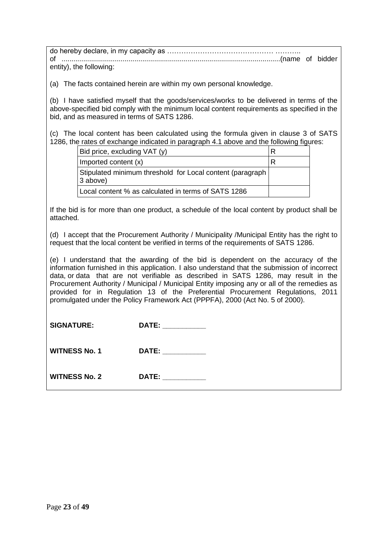do hereby declare, in my capacity as ……………………………………… ……….. of ...............................................................................................................(name of bidder entity), the following:

(a) The facts contained herein are within my own personal knowledge.

(b) I have satisfied myself that the goods/services/works to be delivered in terms of the above-specified bid comply with the minimum local content requirements as specified in the bid, and as measured in terms of SATS 1286.

(c) The local content has been calculated using the formula given in clause 3 of SATS 1286, the rates of exchange indicated in paragraph 4.1 above and the following figures:

| Bid price, excluding VAT (y)                                           |  |
|------------------------------------------------------------------------|--|
| Imported content (x)                                                   |  |
| Stipulated minimum threshold for Local content (paragraph)<br>3 above) |  |
| Local content % as calculated in terms of SATS 1286                    |  |

If the bid is for more than one product, a schedule of the local content by product shall be attached.

(d) I accept that the Procurement Authority / Municipality /Municipal Entity has the right to request that the local content be verified in terms of the requirements of SATS 1286.

(e) I understand that the awarding of the bid is dependent on the accuracy of the information furnished in this application. I also understand that the submission of incorrect data, or data that are not verifiable as described in SATS 1286, may result in the Procurement Authority / Municipal / Municipal Entity imposing any or all of the remedies as provided for in Regulation 13 of the Preferential Procurement Regulations, 2011 promulgated under the Policy Framework Act (PPPFA), 2000 (Act No. 5 of 2000).

| <b>SIGNATURE:</b>    | DATE: ___________                                                                                                                                                                                                              |
|----------------------|--------------------------------------------------------------------------------------------------------------------------------------------------------------------------------------------------------------------------------|
| <b>WITNESS No. 1</b> | DATE: _________                                                                                                                                                                                                                |
| <b>WITNESS No. 2</b> | DATE: the contract of the contract of the contract of the contract of the contract of the contract of the contract of the contract of the contract of the contract of the contract of the contract of the contract of the cont |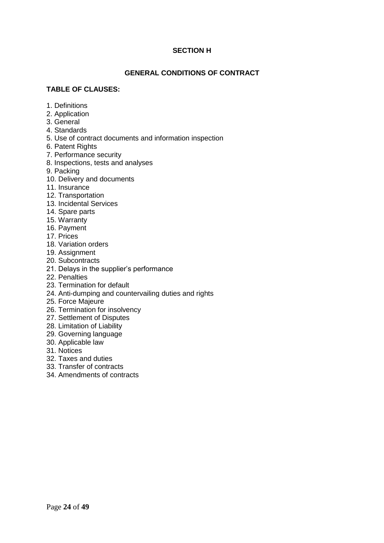#### **SECTION H**

#### **GENERAL CONDITIONS OF CONTRACT**

#### **TABLE OF CLAUSES:**

- 1. Definitions
- 2. Application
- 3. General
- 4. Standards
- 5. Use of contract documents and information inspection
- 6. Patent Rights
- 7. Performance security
- 8. Inspections, tests and analyses
- 9. Packing
- 10. Delivery and documents
- 11. Insurance
- 12. Transportation
- 13. Incidental Services
- 14. Spare parts
- 15. Warranty
- 16. Payment
- 17. Prices
- 18. Variation orders
- 19. Assignment
- 20. Subcontracts
- 21. Delays in the supplier's performance
- 22. Penalties
- 23. Termination for default
- 24. Anti-dumping and countervailing duties and rights
- 25. Force Majeure
- 26. Termination for insolvency
- 27. Settlement of Disputes
- 28. Limitation of Liability
- 29. Governing language
- 30. Applicable law
- 31. Notices
- 32. Taxes and duties
- 33. Transfer of contracts
- 34. Amendments of contracts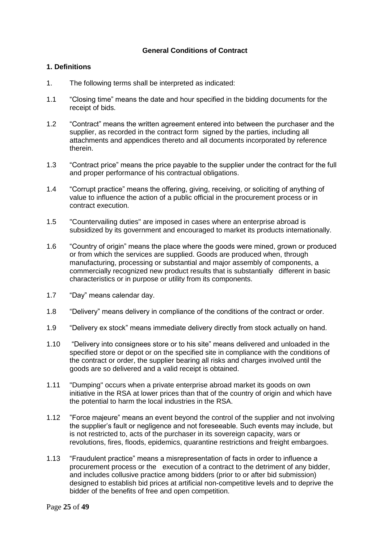#### **General Conditions of Contract**

#### **1. Definitions**

- 1. The following terms shall be interpreted as indicated:
- 1.1 "Closing time" means the date and hour specified in the bidding documents for the receipt of bids.
- 1.2 "Contract" means the written agreement entered into between the purchaser and the supplier, as recorded in the contract form signed by the parties, including all attachments and appendices thereto and all documents incorporated by reference therein.
- 1.3 "Contract price" means the price payable to the supplier under the contract for the full and proper performance of his contractual obligations.
- 1.4 "Corrupt practice" means the offering, giving, receiving, or soliciting of anything of value to influence the action of a public official in the procurement process or in contract execution.
- 1.5 "Countervailing duties" are imposed in cases where an enterprise abroad is subsidized by its government and encouraged to market its products internationally.
- 1.6 "Country of origin" means the place where the goods were mined, grown or produced or from which the services are supplied. Goods are produced when, through manufacturing, processing or substantial and major assembly of components, a commercially recognized new product results that is substantially different in basic characteristics or in purpose or utility from its components.
- 1.7 "Day" means calendar day.
- 1.8 "Delivery" means delivery in compliance of the conditions of the contract or order.
- 1.9 "Delivery ex stock" means immediate delivery directly from stock actually on hand.
- 1.10 "Delivery into consignees store or to his site" means delivered and unloaded in the specified store or depot or on the specified site in compliance with the conditions of the contract or order, the supplier bearing all risks and charges involved until the goods are so delivered and a valid receipt is obtained.
- 1.11 "Dumping" occurs when a private enterprise abroad market its goods on own initiative in the RSA at lower prices than that of the country of origin and which have the potential to harm the local industries in the RSA.
- 1.12 "Force majeure" means an event beyond the control of the supplier and not involving the supplier's fault or negligence and not foreseeable. Such events may include, but is not restricted to, acts of the purchaser in its sovereign capacity, wars or revolutions, fires, floods, epidemics, quarantine restrictions and freight embargoes.
- 1.13 "Fraudulent practice" means a misrepresentation of facts in order to influence a procurement process or the execution of a contract to the detriment of any bidder, and includes collusive practice among bidders (prior to or after bid submission) designed to establish bid prices at artificial non-competitive levels and to deprive the bidder of the benefits of free and open competition.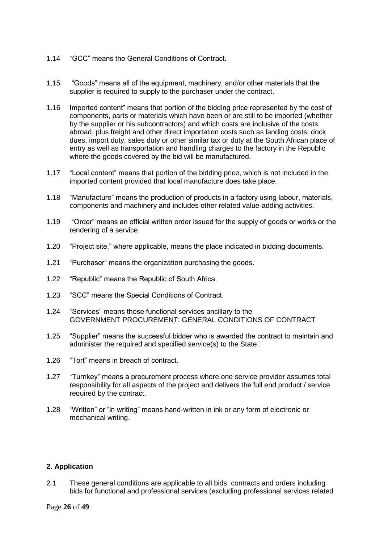- 1.14 "GCC" means the General Conditions of Contract.
- 1.15 "Goods" means all of the equipment, machinery, and/or other materials that the supplier is required to supply to the purchaser under the contract.
- 1.16 Imported content" means that portion of the bidding price represented by the cost of components, parts or materials which have been or are still to be imported (whether by the supplier or his subcontractors) and which costs are inclusive of the costs abroad, plus freight and other direct importation costs such as landing costs, dock dues, import duty, sales duty or other similar tax or duty at the South African place of entry as well as transportation and handling charges to the factory in the Republic where the goods covered by the bid will be manufactured.
- 1.17 "Local content" means that portion of the bidding price, which is not included in the imported content provided that local manufacture does take place.
- 1.18 "Manufacture" means the production of products in a factory using labour, materials, components and machinery and includes other related value-adding activities.
- 1.19 "Order" means an official written order issued for the supply of goods or works or the rendering of a service.
- 1.20 "Project site," where applicable, means the place indicated in bidding documents.
- 1.21 "Purchaser" means the organization purchasing the goods.
- 1.22 "Republic" means the Republic of South Africa.
- 1.23 "SCC" means the Special Conditions of Contract.
- 1.24 "Services" means those functional services ancillary to the GOVERNMENT PROCUREMENT: GENERAL CONDITIONS OF CONTRACT
- 1.25 "Supplier" means the successful bidder who is awarded the contract to maintain and administer the required and specified service(s) to the State.
- 1.26 "Tort" means in breach of contract.
- 1.27 "Turnkey" means a procurement process where one service provider assumes total responsibility for all aspects of the project and delivers the full end product / service required by the contract.
- 1.28 "Written" or "in writing" means hand-written in ink or any form of electronic or mechanical writing.

#### **2. Application**

2.1 These general conditions are applicable to all bids, contracts and orders including bids for functional and professional services (excluding professional services related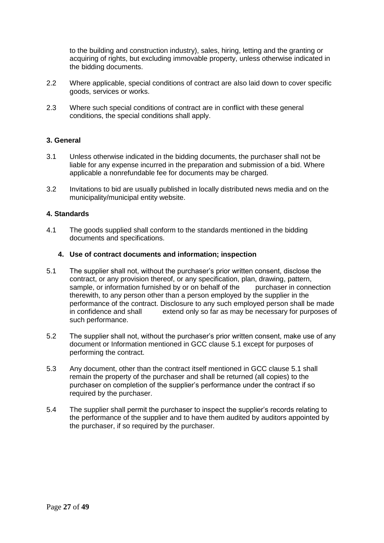to the building and construction industry), sales, hiring, letting and the granting or acquiring of rights, but excluding immovable property, unless otherwise indicated in the bidding documents.

- 2.2 Where applicable, special conditions of contract are also laid down to cover specific goods, services or works.
- 2.3 Where such special conditions of contract are in conflict with these general conditions, the special conditions shall apply.

#### **3. General**

- 3.1 Unless otherwise indicated in the bidding documents, the purchaser shall not be liable for any expense incurred in the preparation and submission of a bid. Where applicable a nonrefundable fee for documents may be charged.
- 3.2 Invitations to bid are usually published in locally distributed news media and on the municipality/municipal entity website.

#### **4. Standards**

4.1 The goods supplied shall conform to the standards mentioned in the bidding documents and specifications.

#### **4. Use of contract documents and information; inspection**

- 5.1 The supplier shall not, without the purchaser's prior written consent, disclose the contract, or any provision thereof, or any specification, plan, drawing, pattern, sample, or information furnished by or on behalf of the purchaser in connection therewith, to any person other than a person employed by the supplier in the performance of the contract. Disclosure to any such employed person shall be made in confidence and shall extend only so far as may be necessary for purposes of such performance.
- 5.2 The supplier shall not, without the purchaser's prior written consent, make use of any document or Information mentioned in GCC clause 5.1 except for purposes of performing the contract.
- 5.3 Any document, other than the contract itself mentioned in GCC clause 5.1 shall remain the property of the purchaser and shall be returned (all copies) to the purchaser on completion of the supplier's performance under the contract if so required by the purchaser.
- 5.4 The supplier shall permit the purchaser to inspect the supplier's records relating to the performance of the supplier and to have them audited by auditors appointed by the purchaser, if so required by the purchaser.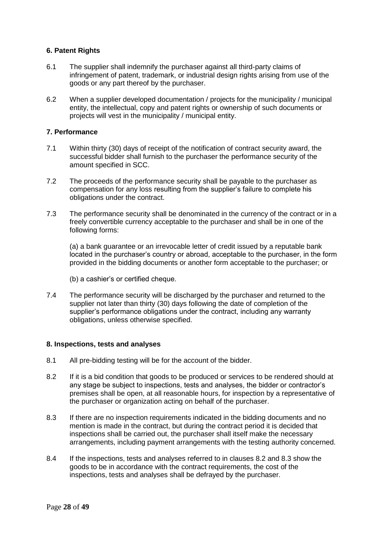#### **6. Patent Rights**

- 6.1 The supplier shall indemnify the purchaser against all third-party claims of infringement of patent, trademark, or industrial design rights arising from use of the goods or any part thereof by the purchaser.
- 6.2 When a supplier developed documentation / projects for the municipality / municipal entity, the intellectual, copy and patent rights or ownership of such documents or projects will vest in the municipality / municipal entity.

#### **7. Performance**

- 7.1 Within thirty (30) days of receipt of the notification of contract security award, the successful bidder shall furnish to the purchaser the performance security of the amount specified in SCC.
- 7.2 The proceeds of the performance security shall be payable to the purchaser as compensation for any loss resulting from the supplier's failure to complete his obligations under the contract.
- 7.3 The performance security shall be denominated in the currency of the contract or in a freely convertible currency acceptable to the purchaser and shall be in one of the following forms:

(a) a bank guarantee or an irrevocable letter of credit issued by a reputable bank located in the purchaser's country or abroad, acceptable to the purchaser, in the form provided in the bidding documents or another form acceptable to the purchaser; or

- (b) a cashier's or certified cheque.
- 7.4 The performance security will be discharged by the purchaser and returned to the supplier not later than thirty (30) days following the date of completion of the supplier's performance obligations under the contract, including any warranty obligations, unless otherwise specified.

#### **8. Inspections, tests and analyses**

- 8.1 All pre-bidding testing will be for the account of the bidder.
- 8.2 If it is a bid condition that goods to be produced or services to be rendered should at any stage be subject to inspections, tests and analyses, the bidder or contractor's premises shall be open, at all reasonable hours, for inspection by a representative of the purchaser or organization acting on behalf of the purchaser.
- 8.3 If there are no inspection requirements indicated in the bidding documents and no mention is made in the contract, but during the contract period it is decided that inspections shall be carried out, the purchaser shall itself make the necessary arrangements, including payment arrangements with the testing authority concerned.
- 8.4 If the inspections, tests and analyses referred to in clauses 8.2 and 8.3 show the goods to be in accordance with the contract requirements, the cost of the inspections, tests and analyses shall be defrayed by the purchaser.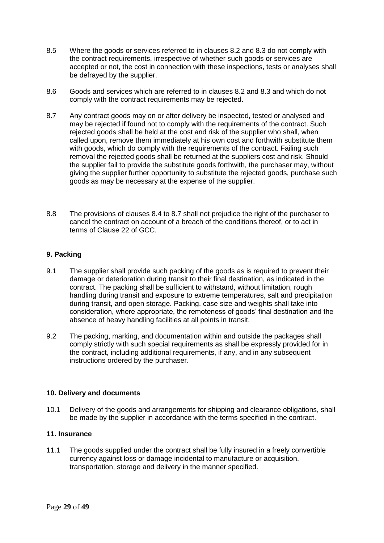- 8.5 Where the goods or services referred to in clauses 8.2 and 8.3 do not comply with the contract requirements, irrespective of whether such goods or services are accepted or not, the cost in connection with these inspections, tests or analyses shall be defrayed by the supplier.
- 8.6 Goods and services which are referred to in clauses 8.2 and 8.3 and which do not comply with the contract requirements may be rejected.
- 8.7 Any contract goods may on or after delivery be inspected, tested or analysed and may be rejected if found not to comply with the requirements of the contract. Such rejected goods shall be held at the cost and risk of the supplier who shall, when called upon, remove them immediately at his own cost and forthwith substitute them with goods, which do comply with the requirements of the contract. Failing such removal the rejected goods shall be returned at the suppliers cost and risk. Should the supplier fail to provide the substitute goods forthwith, the purchaser may, without giving the supplier further opportunity to substitute the rejected goods, purchase such goods as may be necessary at the expense of the supplier.
- 8.8 The provisions of clauses 8.4 to 8.7 shall not prejudice the right of the purchaser to cancel the contract on account of a breach of the conditions thereof, or to act in terms of Clause 22 of GCC.

#### **9. Packing**

- 9.1 The supplier shall provide such packing of the goods as is required to prevent their damage or deterioration during transit to their final destination, as indicated in the contract. The packing shall be sufficient to withstand, without limitation, rough handling during transit and exposure to extreme temperatures, salt and precipitation during transit, and open storage. Packing, case size and weights shall take into consideration, where appropriate, the remoteness of goods' final destination and the absence of heavy handling facilities at all points in transit.
- 9.2 The packing, marking, and documentation within and outside the packages shall comply strictly with such special requirements as shall be expressly provided for in the contract, including additional requirements, if any, and in any subsequent instructions ordered by the purchaser.

#### **10. Delivery and documents**

10.1 Delivery of the goods and arrangements for shipping and clearance obligations, shall be made by the supplier in accordance with the terms specified in the contract.

#### **11. Insurance**

11.1 The goods supplied under the contract shall be fully insured in a freely convertible currency against loss or damage incidental to manufacture or acquisition, transportation, storage and delivery in the manner specified.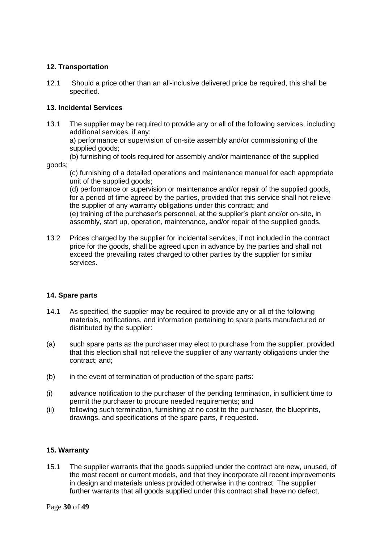#### **12. Transportation**

12.1 Should a price other than an all-inclusive delivered price be required, this shall be specified.

#### **13. Incidental Services**

13.1 The supplier may be required to provide any or all of the following services, including additional services, if any:

a) performance or supervision of on-site assembly and/or commissioning of the supplied goods;

(b) furnishing of tools required for assembly and/or maintenance of the supplied

goods;

(c) furnishing of a detailed operations and maintenance manual for each appropriate unit of the supplied goods;

(d) performance or supervision or maintenance and/or repair of the supplied goods, for a period of time agreed by the parties, provided that this service shall not relieve the supplier of any warranty obligations under this contract; and

(e) training of the purchaser's personnel, at the supplier's plant and/or on-site, in assembly, start up, operation, maintenance, and/or repair of the supplied goods.

13.2 Prices charged by the supplier for incidental services, if not included in the contract price for the goods, shall be agreed upon in advance by the parties and shall not exceed the prevailing rates charged to other parties by the supplier for similar services.

#### **14. Spare parts**

- 14.1 As specified, the supplier may be required to provide any or all of the following materials, notifications, and information pertaining to spare parts manufactured or distributed by the supplier:
- (a) such spare parts as the purchaser may elect to purchase from the supplier, provided that this election shall not relieve the supplier of any warranty obligations under the contract; and;
- (b) in the event of termination of production of the spare parts:
- (i) advance notification to the purchaser of the pending termination, in sufficient time to permit the purchaser to procure needed requirements; and
- (ii) following such termination, furnishing at no cost to the purchaser, the blueprints, drawings, and specifications of the spare parts, if requested.

#### **15. Warranty**

15.1 The supplier warrants that the goods supplied under the contract are new, unused, of the most recent or current models, and that they incorporate all recent improvements in design and materials unless provided otherwise in the contract. The supplier further warrants that all goods supplied under this contract shall have no defect,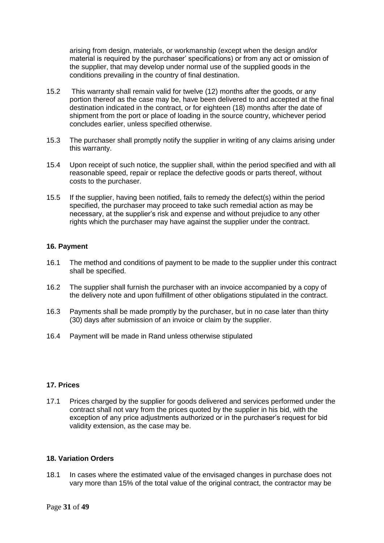arising from design, materials, or workmanship (except when the design and/or material is required by the purchaser' specifications) or from any act or omission of the supplier, that may develop under normal use of the supplied goods in the conditions prevailing in the country of final destination.

- 15.2 This warranty shall remain valid for twelve (12) months after the goods, or any portion thereof as the case may be, have been delivered to and accepted at the final destination indicated in the contract, or for eighteen (18) months after the date of shipment from the port or place of loading in the source country, whichever period concludes earlier, unless specified otherwise.
- 15.3 The purchaser shall promptly notify the supplier in writing of any claims arising under this warranty.
- 15.4 Upon receipt of such notice, the supplier shall, within the period specified and with all reasonable speed, repair or replace the defective goods or parts thereof, without costs to the purchaser.
- 15.5 If the supplier, having been notified, fails to remedy the defect(s) within the period specified, the purchaser may proceed to take such remedial action as may be necessary, at the supplier's risk and expense and without prejudice to any other rights which the purchaser may have against the supplier under the contract.

#### **16. Payment**

- 16.1 The method and conditions of payment to be made to the supplier under this contract shall be specified.
- 16.2 The supplier shall furnish the purchaser with an invoice accompanied by a copy of the delivery note and upon fulfillment of other obligations stipulated in the contract.
- 16.3 Payments shall be made promptly by the purchaser, but in no case later than thirty (30) days after submission of an invoice or claim by the supplier.
- 16.4 Payment will be made in Rand unless otherwise stipulated

#### **17. Prices**

17.1 Prices charged by the supplier for goods delivered and services performed under the contract shall not vary from the prices quoted by the supplier in his bid, with the exception of any price adjustments authorized or in the purchaser's request for bid validity extension, as the case may be.

#### **18. Variation Orders**

18.1 In cases where the estimated value of the envisaged changes in purchase does not vary more than 15% of the total value of the original contract, the contractor may be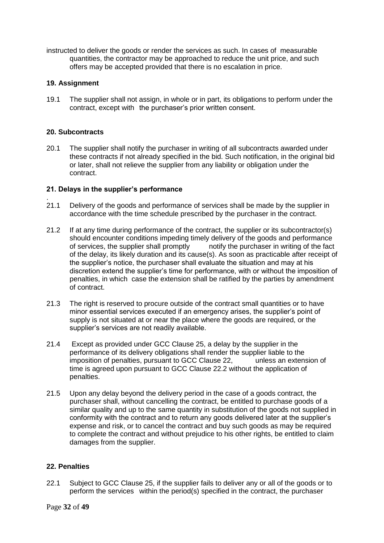instructed to deliver the goods or render the services as such. In cases of measurable quantities, the contractor may be approached to reduce the unit price, and such offers may be accepted provided that there is no escalation in price.

#### **19. Assignment**

19.1 The supplier shall not assign, in whole or in part, its obligations to perform under the contract, except with the purchaser's prior written consent.

#### **20. Subcontracts**

.

20.1 The supplier shall notify the purchaser in writing of all subcontracts awarded under these contracts if not already specified in the bid. Such notification, in the original bid or later, shall not relieve the supplier from any liability or obligation under the contract.

#### **21. Delays in the supplier's performance**

- 21.1 Delivery of the goods and performance of services shall be made by the supplier in accordance with the time schedule prescribed by the purchaser in the contract.
- 21.2 If at any time during performance of the contract, the supplier or its subcontractor(s) should encounter conditions impeding timely delivery of the goods and performance of services, the supplier shall promptly notify the purchaser in writing of the fact of the delay, its likely duration and its cause(s). As soon as practicable after receipt of the supplier's notice, the purchaser shall evaluate the situation and may at his discretion extend the supplier's time for performance, with or without the imposition of penalties, in which case the extension shall be ratified by the parties by amendment of contract.
- 21.3 The right is reserved to procure outside of the contract small quantities or to have minor essential services executed if an emergency arises, the supplier's point of supply is not situated at or near the place where the goods are required, or the supplier's services are not readily available.
- 21.4 Except as provided under GCC Clause 25, a delay by the supplier in the performance of its delivery obligations shall render the supplier liable to the imposition of penalties, pursuant to GCC Clause 22, unless an extension of time is agreed upon pursuant to GCC Clause 22.2 without the application of penalties.
- 21.5 Upon any delay beyond the delivery period in the case of a goods contract, the purchaser shall, without cancelling the contract, be entitled to purchase goods of a similar quality and up to the same quantity in substitution of the goods not supplied in conformity with the contract and to return any goods delivered later at the supplier's expense and risk, or to cancel the contract and buy such goods as may be required to complete the contract and without prejudice to his other rights, be entitled to claim damages from the supplier.

#### **22. Penalties**

22.1 Subject to GCC Clause 25, if the supplier fails to deliver any or all of the goods or to perform the services within the period(s) specified in the contract, the purchaser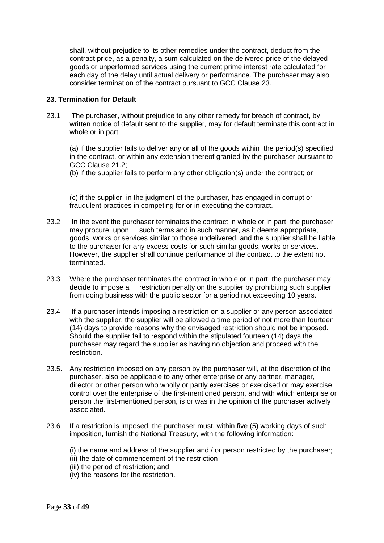shall, without prejudice to its other remedies under the contract, deduct from the contract price, as a penalty, a sum calculated on the delivered price of the delayed goods or unperformed services using the current prime interest rate calculated for each day of the delay until actual delivery or performance. The purchaser may also consider termination of the contract pursuant to GCC Clause 23.

#### **23. Termination for Default**

23.1 The purchaser, without prejudice to any other remedy for breach of contract, by written notice of default sent to the supplier, may for default terminate this contract in whole or in part:

(a) if the supplier fails to deliver any or all of the goods within the period(s) specified in the contract, or within any extension thereof granted by the purchaser pursuant to GCC Clause 21.2;

(b) if the supplier fails to perform any other obligation(s) under the contract; or

(c) if the supplier, in the judgment of the purchaser, has engaged in corrupt or fraudulent practices in competing for or in executing the contract.

- 23.2 In the event the purchaser terminates the contract in whole or in part, the purchaser may procure, upon such terms and in such manner, as it deems appropriate, goods, works or services similar to those undelivered, and the supplier shall be liable to the purchaser for any excess costs for such similar goods, works or services. However, the supplier shall continue performance of the contract to the extent not terminated.
- 23.3 Where the purchaser terminates the contract in whole or in part, the purchaser may decide to impose a restriction penalty on the supplier by prohibiting such supplier from doing business with the public sector for a period not exceeding 10 years.
- 23.4 If a purchaser intends imposing a restriction on a supplier or any person associated with the supplier, the supplier will be allowed a time period of not more than fourteen (14) days to provide reasons why the envisaged restriction should not be imposed. Should the supplier fail to respond within the stipulated fourteen (14) days the purchaser may regard the supplier as having no objection and proceed with the restriction.
- 23.5. Any restriction imposed on any person by the purchaser will, at the discretion of the purchaser, also be applicable to any other enterprise or any partner, manager, director or other person who wholly or partly exercises or exercised or may exercise control over the enterprise of the first-mentioned person, and with which enterprise or person the first-mentioned person, is or was in the opinion of the purchaser actively associated.
- 23.6 If a restriction is imposed, the purchaser must, within five (5) working days of such imposition, furnish the National Treasury, with the following information:

(i) the name and address of the supplier and / or person restricted by the purchaser; (ii) the date of commencement of the restriction

- (iii) the period of restriction; and
- (iv) the reasons for the restriction.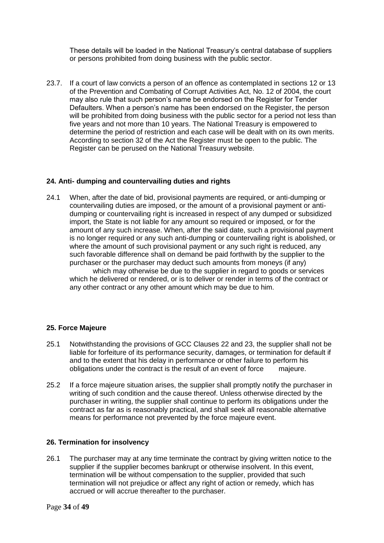These details will be loaded in the National Treasury's central database of suppliers or persons prohibited from doing business with the public sector.

23.7. If a court of law convicts a person of an offence as contemplated in sections 12 or 13 of the Prevention and Combating of Corrupt Activities Act, No. 12 of 2004, the court may also rule that such person's name be endorsed on the Register for Tender Defaulters. When a person's name has been endorsed on the Register, the person will be prohibited from doing business with the public sector for a period not less than five years and not more than 10 years. The National Treasury is empowered to determine the period of restriction and each case will be dealt with on its own merits. According to section 32 of the Act the Register must be open to the public. The Register can be perused on the National Treasury website.

#### **24. Anti- dumping and countervailing duties and rights**

24.1 When, after the date of bid, provisional payments are required, or anti-dumping or countervailing duties are imposed, or the amount of a provisional payment or antidumping or countervailing right is increased in respect of any dumped or subsidized import, the State is not liable for any amount so required or imposed, or for the amount of any such increase. When, after the said date, such a provisional payment is no longer required or any such anti-dumping or countervailing right is abolished, or where the amount of such provisional payment or any such right is reduced, any such favorable difference shall on demand be paid forthwith by the supplier to the purchaser or the purchaser may deduct such amounts from moneys (if any) which may otherwise be due to the supplier in regard to goods or services which he delivered or rendered, or is to deliver or render in terms of the contract or any other contract or any other amount which may be due to him.

#### **25. Force Majeure**

- 25.1 Notwithstanding the provisions of GCC Clauses 22 and 23, the supplier shall not be liable for forfeiture of its performance security, damages, or termination for default if and to the extent that his delay in performance or other failure to perform his obligations under the contract is the result of an event of force majeure.
- 25.2 If a force majeure situation arises, the supplier shall promptly notify the purchaser in writing of such condition and the cause thereof. Unless otherwise directed by the purchaser in writing, the supplier shall continue to perform its obligations under the contract as far as is reasonably practical, and shall seek all reasonable alternative means for performance not prevented by the force majeure event.

#### **26. Termination for insolvency**

26.1 The purchaser may at any time terminate the contract by giving written notice to the supplier if the supplier becomes bankrupt or otherwise insolvent. In this event, termination will be without compensation to the supplier, provided that such termination will not prejudice or affect any right of action or remedy, which has accrued or will accrue thereafter to the purchaser.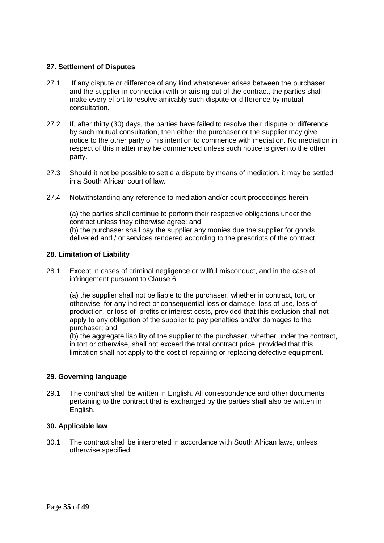#### **27. Settlement of Disputes**

- 27.1 If any dispute or difference of any kind whatsoever arises between the purchaser and the supplier in connection with or arising out of the contract, the parties shall make every effort to resolve amicably such dispute or difference by mutual consultation.
- 27.2 If, after thirty (30) days, the parties have failed to resolve their dispute or difference by such mutual consultation, then either the purchaser or the supplier may give notice to the other party of his intention to commence with mediation. No mediation in respect of this matter may be commenced unless such notice is given to the other party.
- 27.3 Should it not be possible to settle a dispute by means of mediation, it may be settled in a South African court of law.
- 27.4 Notwithstanding any reference to mediation and/or court proceedings herein,

(a) the parties shall continue to perform their respective obligations under the contract unless they otherwise agree; and (b) the purchaser shall pay the supplier any monies due the supplier for goods delivered and / or services rendered according to the prescripts of the contract.

#### **28. Limitation of Liability**

28.1 Except in cases of criminal negligence or willful misconduct, and in the case of infringement pursuant to Clause 6;

(a) the supplier shall not be liable to the purchaser, whether in contract, tort, or otherwise, for any indirect or consequential loss or damage, loss of use, loss of production, or loss of profits or interest costs, provided that this exclusion shall not apply to any obligation of the supplier to pay penalties and/or damages to the purchaser; and

(b) the aggregate liability of the supplier to the purchaser, whether under the contract, in tort or otherwise, shall not exceed the total contract price, provided that this limitation shall not apply to the cost of repairing or replacing defective equipment.

#### **29. Governing language**

29.1 The contract shall be written in English. All correspondence and other documents pertaining to the contract that is exchanged by the parties shall also be written in English.

#### **30. Applicable law**

30.1 The contract shall be interpreted in accordance with South African laws, unless otherwise specified.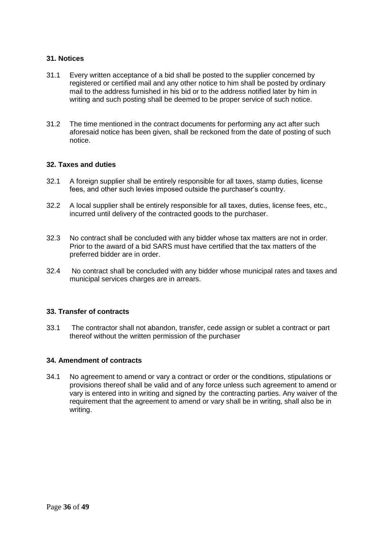#### **31. Notices**

- 31.1 Every written acceptance of a bid shall be posted to the supplier concerned by registered or certified mail and any other notice to him shall be posted by ordinary mail to the address furnished in his bid or to the address notified later by him in writing and such posting shall be deemed to be proper service of such notice.
- 31.2 The time mentioned in the contract documents for performing any act after such aforesaid notice has been given, shall be reckoned from the date of posting of such notice.

#### **32. Taxes and duties**

- 32.1 A foreign supplier shall be entirely responsible for all taxes, stamp duties, license fees, and other such levies imposed outside the purchaser's country.
- 32.2 A local supplier shall be entirely responsible for all taxes, duties, license fees, etc., incurred until delivery of the contracted goods to the purchaser.
- 32.3 No contract shall be concluded with any bidder whose tax matters are not in order. Prior to the award of a bid SARS must have certified that the tax matters of the preferred bidder are in order.
- 32.4 No contract shall be concluded with any bidder whose municipal rates and taxes and municipal services charges are in arrears.

#### **33. Transfer of contracts**

33.1 The contractor shall not abandon, transfer, cede assign or sublet a contract or part thereof without the written permission of the purchaser

#### **34. Amendment of contracts**

34.1 No agreement to amend or vary a contract or order or the conditions, stipulations or provisions thereof shall be valid and of any force unless such agreement to amend or vary is entered into in writing and signed by the contracting parties. Any waiver of the requirement that the agreement to amend or vary shall be in writing, shall also be in writing.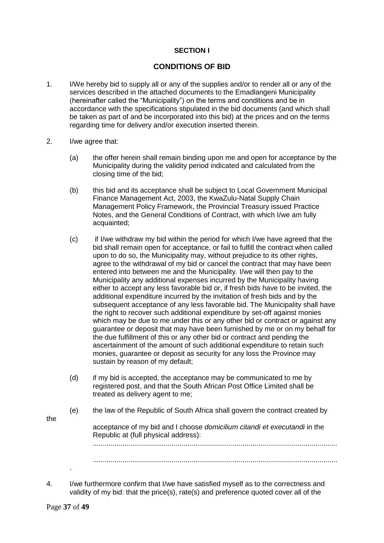#### **SECTION I**

### **CONDITIONS OF BID**

- 1. I/We hereby bid to supply all or any of the supplies and/or to render all or any of the services described in the attached documents to the Emadlangeni Municipality (hereinafter called the "Municipality") on the terms and conditions and be in accordance with the specifications stipulated in the bid documents (and which shall be taken as part of and be incorporated into this bid) at the prices and on the terms regarding time for delivery and/or execution inserted therein.
- 2. I/we agree that:
	- (a) the offer herein shall remain binding upon me and open for acceptance by the Municipality during the validity period indicated and calculated from the closing time of the bid;
	- (b) this bid and its acceptance shall be subject to Local Government Municipal Finance Management Act, 2003, the KwaZulu-Natal Supply Chain Management Policy Framework, the Provincial Treasury issued Practice Notes, and the General Conditions of Contract, with which I/we am fully acquainted;
	- (c) if I/we withdraw my bid within the period for which I/we have agreed that the bid shall remain open for acceptance, or fail to fulfill the contract when called upon to do so, the Municipality may, without prejudice to its other rights, agree to the withdrawal of my bid or cancel the contract that may have been entered into between me and the Municipality. I/we will then pay to the Municipality any additional expenses incurred by the Municipality having either to accept any less favorable bid or, if fresh bids have to be invited, the additional expenditure incurred by the invitation of fresh bids and by the subsequent acceptance of any less favorable bid. The Municipality shall have the right to recover such additional expenditure by set-off against monies which may be due to me under this or any other bid or contract or against any guarantee or deposit that may have been furnished by me or on my behalf for the due fulfillment of this or any other bid or contract and pending the ascertainment of the amount of such additional expenditure to retain such monies, guarantee or deposit as security for any loss the Province may sustain by reason of my default;
	- (d) if my bid is accepted, the acceptance may be communicated to me by registered post, and that the South African Post Office Limited shall be treated as delivery agent to me;
	- (e) the law of the Republic of South Africa shall govern the contract created by

acceptance of my bid and I choose *domicilium citandi et executandi* in the Republic at (full physical address): ............................................................................................................................

............................................................................................................................

4. I/we furthermore confirm that I/we have satisfied myself as to the correctness and validity of my bid: that the price(s), rate(s) and preference quoted cover all of the

.

the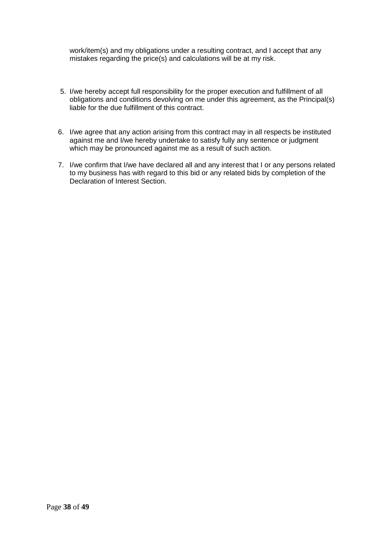work/item(s) and my obligations under a resulting contract, and I accept that any mistakes regarding the price(s) and calculations will be at my risk.

- 5. I/we hereby accept full responsibility for the proper execution and fulfillment of all obligations and conditions devolving on me under this agreement, as the Principal(s) liable for the due fulfillment of this contract.
- 6. I/we agree that any action arising from this contract may in all respects be instituted against me and I/we hereby undertake to satisfy fully any sentence or judgment which may be pronounced against me as a result of such action.
- 7. I/we confirm that I/we have declared all and any interest that I or any persons related to my business has with regard to this bid or any related bids by completion of the Declaration of Interest Section.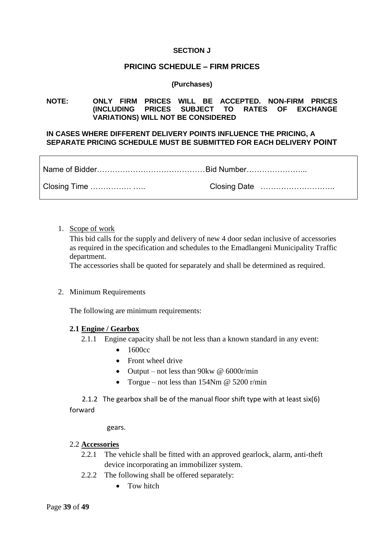#### **SECTION J**

#### **PRICING SCHEDULE – FIRM PRICES**

#### **(Purchases)**

#### **NOTE: ONLY FIRM PRICES WILL BE ACCEPTED. NON-FIRM PRICES (INCLUDING PRICES SUBJECT TO RATES OF EXCHANGE VARIATIONS) WILL NOT BE CONSIDERED**

#### **IN CASES WHERE DIFFERENT DELIVERY POINTS INFLUENCE THE PRICING, A SEPARATE PRICING SCHEDULE MUST BE SUBMITTED FOR EACH DELIVERY POINT**

1. Scope of work

This bid calls for the supply and delivery of new 4 door sedan inclusive of accessories as required in the specification and schedules to the Emadlangeni Municipality Traffic department.

The accessories shall be quoted for separately and shall be determined as required.

2. Minimum Requirements

The following are minimum requirements:

#### **2.1 Engine / Gearbox**

- 2.1.1 Engine capacity shall be not less than a known standard in any event:
	- $\bullet$  1600cc
	- Front wheel drive
	- Output not less than 90 kw  $\omega$  6000 c/min
	- Torgue not less than  $154Nm \t{C}$  5200 r/min

 2.1.2 The gearbox shall be of the manual floor shift type with at least six(6) forward

gears.

#### 2.2 **Accessories**

- 2.2.1 The vehicle shall be fitted with an approved gearlock, alarm, anti-theft device incorporating an immobilizer system.
- 2.2.2 The following shall be offered separately:
	- Tow hitch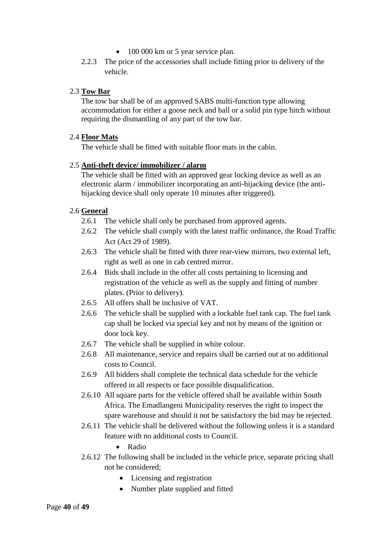- 100 000 km or 5 year service plan.
- 2.2.3 The price of the accessories shall include fitting prior to delivery of the vehicle.

#### 2.3 **Tow Bar**

The tow bar shall be of an approved SABS multi-function type allowing accommodation for either a goose neck and ball or a solid pin type hitch without requiring the dismantling of any part of the tow bar.

#### 2.4 **Floor Mats**

The vehicle shall be fitted with suitable floor mats in the cabin.

#### 2.5 **Anti-theft device/ immobilizer / alarm**

The vehicle shall be fitted with an approved gear locking device as well as an electronic alarm / immobilizer incorporating an anti-hijacking device (the antihijacking device shall only operate 10 minutes after triggered).

#### 2.6 **General**

- 2.6.1 The vehicle shall only be purchased from approved agents.
- 2.6.2 The vehicle shall comply with the latest traffic ordinance, the Road Traffic Act (Act 29 of 1989).
- 2.6.3 The vehicle shall be fitted with three rear-view mirrors, two external left, right as well as one in cab centred mirror.
- 2.6.4 Bids shall include in the offer all costs pertaining to licensing and registration of the vehicle as well as the supply and fitting of number plates. (Prior to delivery).
- 2.6.5 All offers shall be inclusive of VAT.
- 2.6.6 The vehicle shall be supplied with a lockable fuel tank cap. The fuel tank cap shall be locked via special key and not by means of the ignition or door lock key.
- 2.6.7 The vehicle shall be supplied in white colour.
- 2.6.8 All maintenance, service and repairs shall be carried out at no additional costs to Council.
- 2.6.9 All bidders shall complete the technical data schedule for the vehicle offered in all respects or face possible disqualification.
- 2.6.10 All square parts for the vehicle offered shall be available within South Africa. The Emadlangeni Municipality reserves the right to inspect the spare warehouse and should it not be satisfactory the bid may be rejected.
- 2.6.11 The vehicle shall be delivered without the following unless it is a standard feature with no additional costs to Council.
	- Radio
- 2.6.12 The following shall be included in the vehicle price, separate pricing shall not be considered;
	- Licensing and registration
	- Number plate supplied and fitted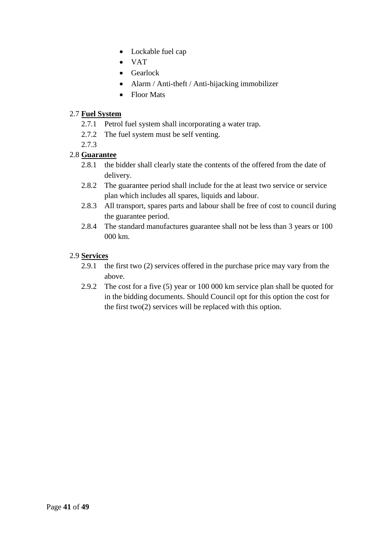- Lockable fuel cap
- VAT
- Gearlock
- Alarm / Anti-theft / Anti-hijacking immobilizer
- Floor Mats

### 2.7 **Fuel System**

- 2.7.1 Petrol fuel system shall incorporating a water trap.
- 2.7.2 The fuel system must be self venting.
- 2.7.3

### 2.8 **Guarantee**

- 2.8.1 the bidder shall clearly state the contents of the offered from the date of delivery.
- 2.8.2 The guarantee period shall include for the at least two service or service plan which includes all spares, liquids and labour.
- 2.8.3 All transport, spares parts and labour shall be free of cost to council during the guarantee period.
- 2.8.4 The standard manufactures guarantee shall not be less than 3 years or 100 000 km.

### 2.9 **Services**

- 2.9.1 the first two (2) services offered in the purchase price may vary from the above.
- 2.9.2 The cost for a five (5) year or 100 000 km service plan shall be quoted for in the bidding documents. Should Council opt for this option the cost for the first two(2) services will be replaced with this option.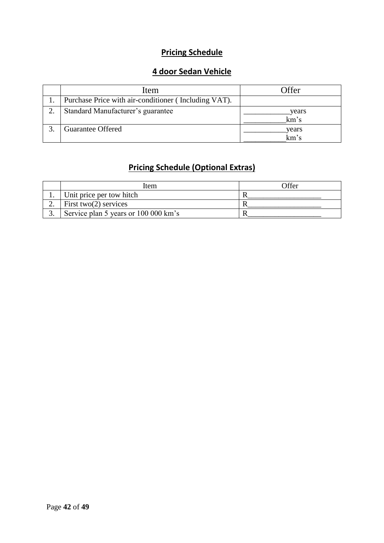# **Pricing Schedule**

# **4 door Sedan Vehicle**

| Item                                                 | <b>)</b> ffer |
|------------------------------------------------------|---------------|
| Purchase Price with air-conditioner (Including VAT). |               |
| Standard Manufacturer's guarantee                    | years<br>km's |
| <b>Guarantee Offered</b>                             | years<br>km's |

# **Pricing Schedule (Optional Extras)**

|     | Item                                 | Offer |
|-----|--------------------------------------|-------|
| . . | Unit price per tow hitch             |       |
|     | First two $(2)$ services             |       |
| ິ.  | Service plan 5 years or 100 000 km's |       |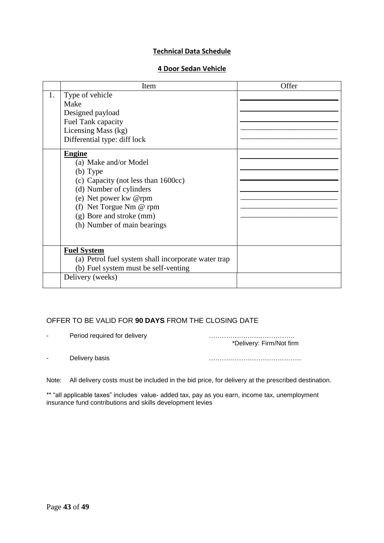#### **Technical Data Schedule**

#### **4 Door Sedan Vehicle**

|    | Item                                                                                                                                                                                                                                                                                                                                                              | Offer |
|----|-------------------------------------------------------------------------------------------------------------------------------------------------------------------------------------------------------------------------------------------------------------------------------------------------------------------------------------------------------------------|-------|
| 1. | Type of vehicle<br>Make<br>Designed payload<br>Fuel Tank capacity<br>Licensing Mass (kg)<br>Differential type: diff lock<br><b>Engine</b><br>(a) Make and/or Model<br>$(b)$ Type<br>(c) Capacity (not less than 1600cc)<br>(d) Number of cylinders<br>(e) Net power kw @rpm<br>(f) Net Torgue Nm @ rpm<br>(g) Bore and stroke (mm)<br>(h) Number of main bearings |       |
|    | <b>Fuel System</b><br>(a) Petrol fuel system shall incorporate water trap<br>(b) Fuel system must be self-venting<br>Delivery (weeks)                                                                                                                                                                                                                             |       |

### OFFER TO BE VALID FOR **90 DAYS** FROM THE CLOSING DATE

- Period required for delivery manufacturer manufacturer extensive manufacturer extensive manufacturer extending to  $P$ 

\*Delivery: Firm/Not firm

- Delivery basis **Example 2018** 2019 2019 2021 2022 2023 2024 2022 2023 2024 2022 2023 2024 2025 2026 2027 2027 20

Note: All delivery costs must be included in the bid price, for delivery at the prescribed destination.

\*\* "all applicable taxes" includes value- added tax, pay as you earn, income tax, unemployment insurance fund contributions and skills development levies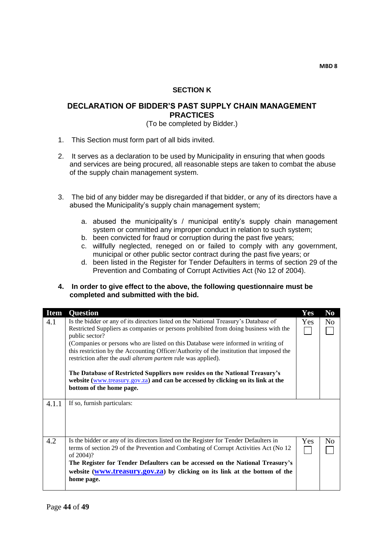#### **SECTION K**

#### **DECLARATION OF BIDDER'S PAST SUPPLY CHAIN MANAGEMENT PRACTICES**

#### (To be completed by Bidder.)

- 1. This Section must form part of all bids invited.
- 2. It serves as a declaration to be used by Municipality in ensuring that when goods and services are being procured, all reasonable steps are taken to combat the abuse of the supply chain management system.
- 3. The bid of any bidder may be disregarded if that bidder, or any of its directors have a abused the Municipality's supply chain management system;
	- a. abused the municipality's / municipal entity's supply chain management system or committed any improper conduct in relation to such system;
	- b. been convicted for fraud or corruption during the past five years;
	- c. willfully neglected, reneged on or failed to comply with any government, municipal or other public sector contract during the past five years; or
	- d. been listed in the Register for Tender Defaulters in terms of section 29 of the Prevention and Combating of Corrupt Activities Act (No 12 of 2004).

#### **4. In order to give effect to the above, the following questionnaire must be completed and submitted with the bid.**

| <b>Item</b> | <b>Ouestion</b>                                                                                                                                                                                                                                                                                                                                                                                                                                                                                                                                                                                                                                      | Yes | N <sub>o</sub> |
|-------------|------------------------------------------------------------------------------------------------------------------------------------------------------------------------------------------------------------------------------------------------------------------------------------------------------------------------------------------------------------------------------------------------------------------------------------------------------------------------------------------------------------------------------------------------------------------------------------------------------------------------------------------------------|-----|----------------|
| 4.1         | Is the bidder or any of its directors listed on the National Treasury's Database of<br>Restricted Suppliers as companies or persons prohibited from doing business with the<br>public sector?<br>(Companies or persons who are listed on this Database were informed in writing of<br>this restriction by the Accounting Officer/Authority of the institution that imposed the<br>restriction after the <i>audi alteram partem</i> rule was applied).<br>The Database of Restricted Suppliers now resides on the National Treasury's<br>website (www.treasury.gov.za) and can be accessed by clicking on its link at the<br>bottom of the home page. | Yes | N <sub>o</sub> |
| 4.1.1       | If so, furnish particulars:                                                                                                                                                                                                                                                                                                                                                                                                                                                                                                                                                                                                                          |     |                |
| 4.2         | Is the bidder or any of its directors listed on the Register for Tender Defaulters in<br>terms of section 29 of the Prevention and Combating of Corrupt Activities Act (No 12)<br>of 2004)?<br>The Register for Tender Defaulters can be accessed on the National Treasury's<br>website (www.treasury.gov.za) by clicking on its link at the bottom of the<br>home page.                                                                                                                                                                                                                                                                             | Yes | N <sub>o</sub> |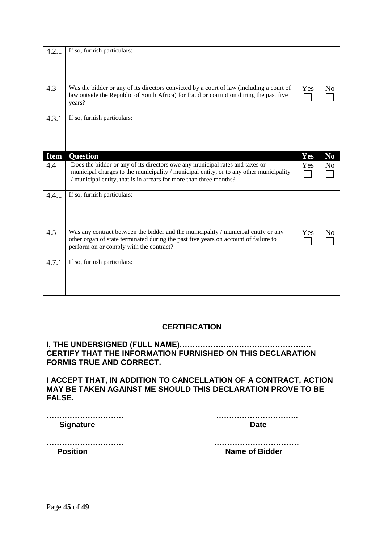| 4.2.1       | If so, furnish particulars:                                                                                                                                                                                                                  |     |                |
|-------------|----------------------------------------------------------------------------------------------------------------------------------------------------------------------------------------------------------------------------------------------|-----|----------------|
| 4.3         | Was the bidder or any of its directors convicted by a court of law (including a court of<br>law outside the Republic of South Africa) for fraud or corruption during the past five<br>years?                                                 | Yes | N <sub>0</sub> |
| 4.3.1       | If so, furnish particulars:                                                                                                                                                                                                                  |     |                |
| <b>Item</b> | <b>Question</b>                                                                                                                                                                                                                              | Yes | N <sub>0</sub> |
| 4.4         | Does the bidder or any of its directors owe any municipal rates and taxes or<br>municipal charges to the municipality / municipal entity, or to any other municipality<br>/ municipal entity, that is in arrears for more than three months? | Yes | N <sub>o</sub> |
| 4.4.1       | If so, furnish particulars:                                                                                                                                                                                                                  |     |                |
| 4.5         | Was any contract between the bidder and the municipality / municipal entity or any<br>other organ of state terminated during the past five years on account of failure to<br>perform on or comply with the contract?                         | Yes | N <sub>0</sub> |
| 4.7.1       | If so, furnish particulars:                                                                                                                                                                                                                  |     |                |

### **CERTIFICATION**

### **I, THE UNDERSIGNED (FULL NAME)…………………………………………… CERTIFY THAT THE INFORMATION FURNISHED ON THIS DECLARATION FORMIS TRUE AND CORRECT.**

**I ACCEPT THAT, IN ADDITION TO CANCELLATION OF A CONTRACT, ACTION MAY BE TAKEN AGAINST ME SHOULD THIS DECLARATION PROVE TO BE FALSE.**

| <b>Signature</b> |  |
|------------------|--|

| <b>Data</b> |  |  |  |  |  |  |  |  |  |  |  |  |  |  |  |  |  |  |  |  |  |  |  |  |  |  |  |  |  |  |  |
|-------------|--|--|--|--|--|--|--|--|--|--|--|--|--|--|--|--|--|--|--|--|--|--|--|--|--|--|--|--|--|--|--|

**………………………… …………………………… Position Contract Position Contract Position Position Contract Position Position Position Position Position Position Position Position Position Position Position Position Position Position Position Position Position Posit**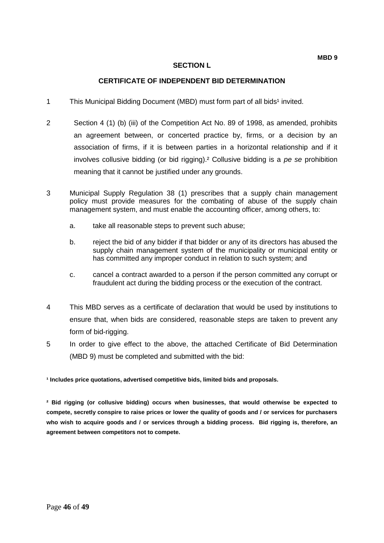#### **CERTIFICATE OF INDEPENDENT BID DETERMINATION**

- 1 This Municipal Bidding Document (MBD) must form part of all bids<sup>1</sup> invited.
- 2 Section 4 (1) (b) (iii) of the Competition Act No. 89 of 1998, as amended, prohibits an agreement between, or concerted practice by, firms, or a decision by an association of firms, if it is between parties in a horizontal relationship and if it involves collusive bidding (or bid rigging).² Collusive bidding is a *pe se* prohibition meaning that it cannot be justified under any grounds.
- 3 Municipal Supply Regulation 38 (1) prescribes that a supply chain management policy must provide measures for the combating of abuse of the supply chain management system, and must enable the accounting officer, among others, to:
	- a. take all reasonable steps to prevent such abuse;
	- b. reject the bid of any bidder if that bidder or any of its directors has abused the supply chain management system of the municipality or municipal entity or has committed any improper conduct in relation to such system; and
	- c. cancel a contract awarded to a person if the person committed any corrupt or fraudulent act during the bidding process or the execution of the contract.
- 4 This MBD serves as a certificate of declaration that would be used by institutions to ensure that, when bids are considered, reasonable steps are taken to prevent any form of bid-rigging.
- 5 In order to give effect to the above, the attached Certificate of Bid Determination (MBD 9) must be completed and submitted with the bid:

**¹ Includes price quotations, advertised competitive bids, limited bids and proposals.**

**² Bid rigging (or collusive bidding) occurs when businesses, that would otherwise be expected to compete, secretly conspire to raise prices or lower the quality of goods and / or services for purchasers who wish to acquire goods and / or services through a bidding process. Bid rigging is, therefore, an agreement between competitors not to compete.**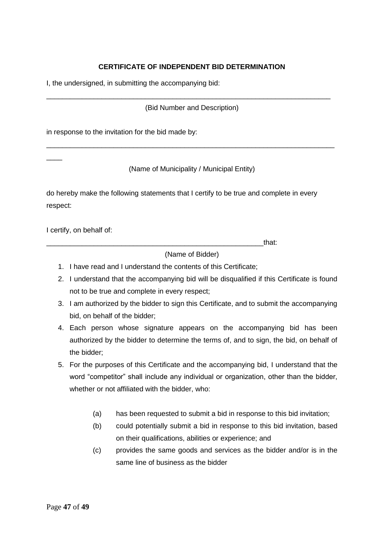### **CERTIFICATE OF INDEPENDENT BID DETERMINATION**

I, the undersigned, in submitting the accompanying bid:

(Bid Number and Description)

\_\_\_\_\_\_\_\_\_\_\_\_\_\_\_\_\_\_\_\_\_\_\_\_\_\_\_\_\_\_\_\_\_\_\_\_\_\_\_\_\_\_\_\_\_\_\_\_\_\_\_\_\_\_\_\_\_\_\_\_\_\_\_\_\_\_\_\_\_\_\_\_

in response to the invitation for the bid made by:

(Name of Municipality / Municipal Entity)

\_\_\_\_\_\_\_\_\_\_\_\_\_\_\_\_\_\_\_\_\_\_\_\_\_\_\_\_\_\_\_\_\_\_\_\_\_\_\_\_\_\_\_\_\_\_\_\_\_\_\_\_\_\_\_\_\_\_\_\_\_\_\_\_\_\_\_\_\_\_\_\_\_

do hereby make the following statements that I certify to be true and complete in every respect:

I certify, on behalf of:

 $\overline{\phantom{a}}$ 

\_\_\_\_\_\_\_\_\_\_\_\_\_\_\_\_\_\_\_\_\_\_\_\_\_\_\_\_\_\_\_\_\_\_\_\_\_\_\_\_\_\_\_\_\_\_\_\_\_\_\_\_\_\_\_that:

(Name of Bidder)

- 1. I have read and I understand the contents of this Certificate;
- 2. I understand that the accompanying bid will be disqualified if this Certificate is found not to be true and complete in every respect;
- 3. I am authorized by the bidder to sign this Certificate, and to submit the accompanying bid, on behalf of the bidder;
- 4. Each person whose signature appears on the accompanying bid has been authorized by the bidder to determine the terms of, and to sign, the bid, on behalf of the bidder;
- 5. For the purposes of this Certificate and the accompanying bid, I understand that the word "competitor" shall include any individual or organization, other than the bidder, whether or not affiliated with the bidder, who:
	- (a) has been requested to submit a bid in response to this bid invitation;
	- (b) could potentially submit a bid in response to this bid invitation, based on their qualifications, abilities or experience; and
	- (c) provides the same goods and services as the bidder and/or is in the same line of business as the bidder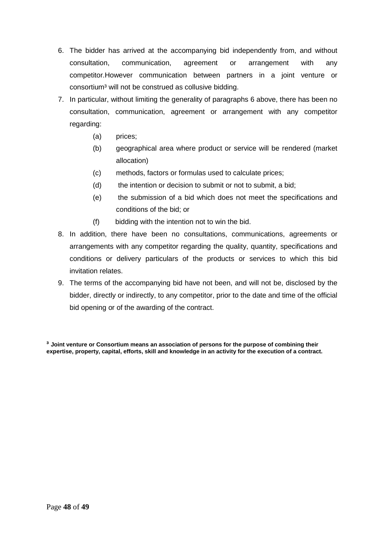- 6. The bidder has arrived at the accompanying bid independently from, and without consultation, communication, agreement or arrangement with any competitor.However communication between partners in a joint venture or consortium<sup>3</sup> will not be construed as collusive bidding.
- 7. In particular, without limiting the generality of paragraphs 6 above, there has been no consultation, communication, agreement or arrangement with any competitor regarding:
	- (a) prices;
	- (b) geographical area where product or service will be rendered (market allocation)
	- (c) methods, factors or formulas used to calculate prices;
	- (d) the intention or decision to submit or not to submit, a bid;
	- (e) the submission of a bid which does not meet the specifications and conditions of the bid; or
	- (f) bidding with the intention not to win the bid.
- 8. In addition, there have been no consultations, communications, agreements or arrangements with any competitor regarding the quality, quantity, specifications and conditions or delivery particulars of the products or services to which this bid invitation relates.
- 9. The terms of the accompanying bid have not been, and will not be, disclosed by the bidder, directly or indirectly, to any competitor, prior to the date and time of the official bid opening or of the awarding of the contract.

**³ Joint venture or Consortium means an association of persons for the purpose of combining their expertise, property, capital, efforts, skill and knowledge in an activity for the execution of a contract.**